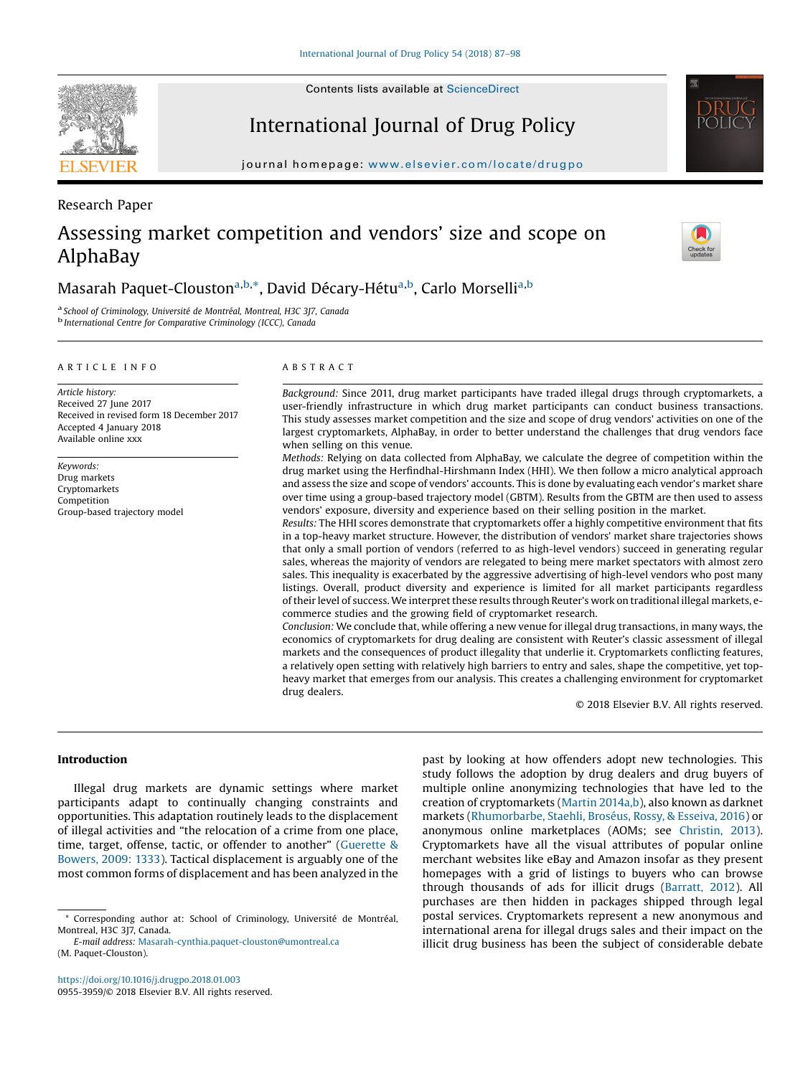Contents lists available at [ScienceDirect](http://www.sciencedirect.com/science/journal/09553959)



Research Paper

International Journal of Drug Policy



# Assessing market competition and vendors' size and scope on AlphaBay



# Masarah Paquet-Clouston<sup>a,b,</sup>\*, David Décary-Hétu<sup>a,b</sup>, Carlo Morselli<sup>a,b</sup>

<sup>a</sup> School of Criminology, Université de Montréal, Montreal, H3C 3J7, Canada<br><sup>b</sup> International Centre for Comparative Criminology (ICCC), Canada

#### A R T I C L E I N F O

Article history: Received 27 June 2017 Received in revised form 18 December 2017 Accepted 4 January 2018 Available online xxx

Keywords: Drug markets Cryptomarkets Competition Group-based trajectory model

# A B S T R A C T

Background: Since 2011, drug market participants have traded illegal drugs through cryptomarkets, a user-friendly infrastructure in which drug market participants can conduct business transactions. This study assesses market competition and the size and scope of drug vendors' activities on one of the largest cryptomarkets, AlphaBay, in order to better understand the challenges that drug vendors face when selling on this venue.

Methods: Relying on data collected from AlphaBay, we calculate the degree of competition within the drug market using the Herfindhal-Hirshmann Index (HHI). We then follow a micro analytical approach and assess the size and scope of vendors' accounts. This is done by evaluating each vendor's market share over time using a group-based trajectory model (GBTM). Results from the GBTM are then used to assess vendors' exposure, diversity and experience based on their selling position in the market.

Results: The HHI scores demonstrate that cryptomarkets offer a highly competitive environment that fits in a top-heavy market structure. However, the distribution of vendors' market share trajectories shows that only a small portion of vendors (referred to as high-level vendors) succeed in generating regular sales, whereas the majority of vendors are relegated to being mere market spectators with almost zero sales. This inequality is exacerbated by the aggressive advertising of high-level vendors who post many listings. Overall, product diversity and experience is limited for all market participants regardless of their level of success. We interpretthese results through Reuter's work on traditional illegal markets, ecommerce studies and the growing field of cryptomarket research.

Conclusion: We conclude that, while offering a new venue for illegal drug transactions, in many ways, the economics of cryptomarkets for drug dealing are consistent with Reuter's classic assessment of illegal markets and the consequences of product illegality that underlie it. Cryptomarkets conflicting features, a relatively open setting with relatively high barriers to entry and sales, shape the competitive, yet topheavy market that emerges from our analysis. This creates a challenging environment for cryptomarket drug dealers.

© 2018 Elsevier B.V. All rights reserved.

# Introduction

Illegal drug markets are dynamic settings where market participants adapt to continually changing constraints and opportunities. This adaptation routinely leads to the displacement of illegal activities and "the relocation of a crime from one place, time, target, offense, tactic, or offender to another" [\(Guerette](#page-10-0) & [Bowers,](#page-10-0) 2009: 1333). Tactical displacement is arguably one of the most common forms of displacement and has been analyzed in the

E-mail address: [Masarah-cynthia.paquet-clouston@umontreal.ca](mailto:Masarah-cynthia.paquet-clouston@umontreal.ca) (M. Paquet-Clouston).

<https://doi.org/10.1016/j.drugpo.2018.01.003> 0955-3959/© 2018 Elsevier B.V. All rights reserved. past by looking at how offenders adopt new technologies. This study follows the adoption by drug dealers and drug buyers of multiple online anonymizing technologies that have led to the creation of cryptomarkets (Martin [2014a,b](#page-10-0)), also known as darknet markets [\(Rhumorbarbe,](#page-11-0) Staehli, Broséus, Rossy, & Esseiva, 2016) or anonymous online marketplaces (AOMs; see [Christin,](#page-10-0) 2013). Cryptomarkets have all the visual attributes of popular online merchant websites like eBay and Amazon insofar as they present homepages with a grid of listings to buyers who can browse through thousands of ads for illicit drugs [\(Barratt,](#page-10-0) 2012). All purchases are then hidden in packages shipped through legal postal services. Cryptomarkets represent a new anonymous and international arena for illegal drugs sales and their impact on the illicit drug business has been the subject of considerable debate

Corresponding author at: School of Criminology, Université de Montréal, Montreal, H3C 3J7, Canada.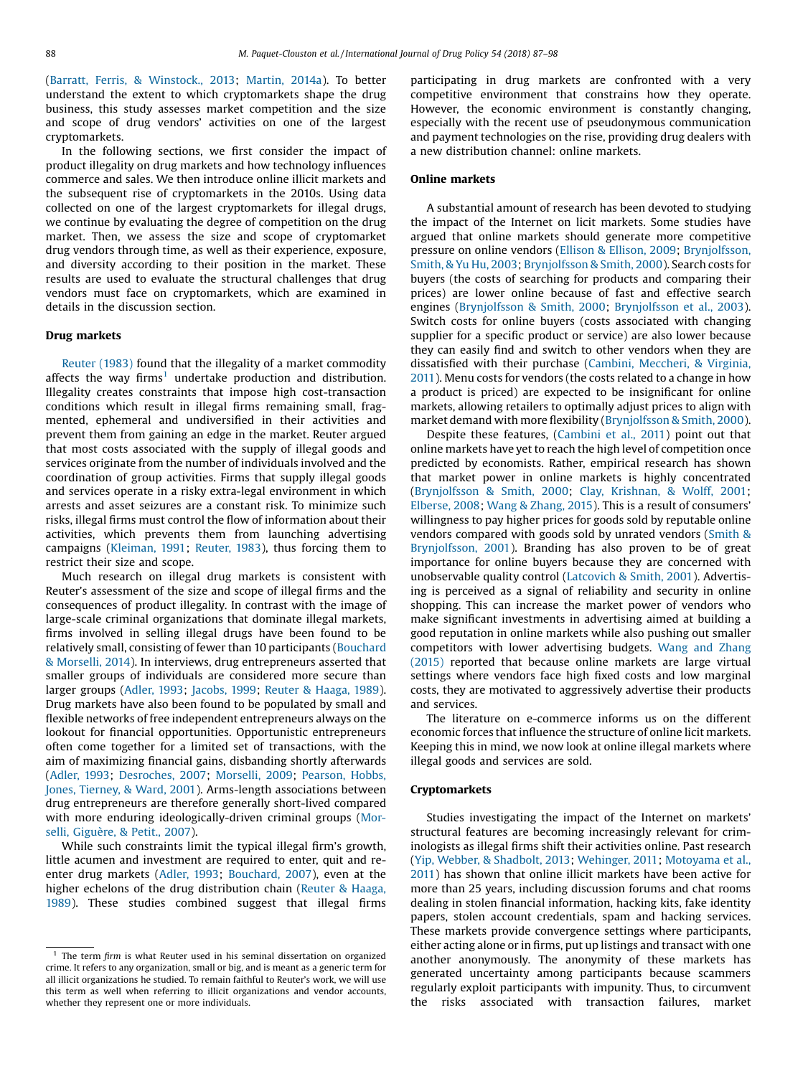(Barratt, Ferris, & [Winstock.,](#page-10-0) 2013; [Martin,](#page-10-0) 2014a). To better understand the extent to which cryptomarkets shape the drug business, this study assesses market competition and the size and scope of drug vendors' activities on one of the largest cryptomarkets.

In the following sections, we first consider the impact of product illegality on drug markets and how technology influences commerce and sales. We then introduce online illicit markets and the subsequent rise of cryptomarkets in the 2010s. Using data collected on one of the largest cryptomarkets for illegal drugs, we continue by evaluating the degree of competition on the drug market. Then, we assess the size and scope of cryptomarket drug vendors through time, as well as their experience, exposure, and diversity according to their position in the market. These results are used to evaluate the structural challenges that drug vendors must face on cryptomarkets, which are examined in details in the discussion section.

#### Drug markets

Reuter [\(1983\)](#page-11-0) found that the illegality of a market commodity affects the way firms<sup>1</sup> undertake production and distribution. Illegality creates constraints that impose high cost-transaction conditions which result in illegal firms remaining small, fragmented, ephemeral and undiversified in their activities and prevent them from gaining an edge in the market. Reuter argued that most costs associated with the supply of illegal goods and services originate from the number of individuals involved and the coordination of group activities. Firms that supply illegal goods and services operate in a risky extra-legal environment in which arrests and asset seizures are a constant risk. To minimize such risks, illegal firms must control the flow of information about their activities, which prevents them from launching advertising campaigns ([Kleiman,](#page-10-0) 1991; [Reuter,](#page-11-0) 1983), thus forcing them to restrict their size and scope.

Much research on illegal drug markets is consistent with Reuter's assessment of the size and scope of illegal firms and the consequences of product illegality. In contrast with the image of large-scale criminal organizations that dominate illegal markets, firms involved in selling illegal drugs have been found to be relatively small, consisting of fewer than 10 participants ([Bouchard](#page-10-0) & [Morselli,](#page-10-0) 2014). In interviews, drug entrepreneurs asserted that smaller groups of individuals are considered more secure than larger groups ([Adler,](#page-10-0) 1993; [Jacobs,](#page-10-0) 1999; Reuter & [Haaga,](#page-11-0) 1989). Drug markets have also been found to be populated by small and flexible networks of free independent entrepreneurs always on the lookout for financial opportunities. Opportunistic entrepreneurs often come together for a limited set of transactions, with the aim of maximizing financial gains, disbanding shortly afterwards ([Adler,](#page-10-0) 1993; [Desroches,](#page-10-0) 2007; [Morselli,](#page-11-0) 2009; [Pearson,](#page-11-0) Hobbs, Jones, [Tierney,](#page-11-0) & Ward, 2001). Arms-length associations between drug entrepreneurs are therefore generally short-lived compared with more enduring ideologically-driven criminal groups ([Mor](#page-11-0)selli, [Giguère,](#page-11-0) & Petit., 2007).

While such constraints limit the typical illegal firm's growth, little acumen and investment are required to enter, quit and reenter drug markets [\(Adler,](#page-10-0) 1993; [Bouchard,](#page-10-0) 2007), even at the higher echelons of the drug distribution chain (Reuter & [Haaga,](#page-11-0) [1989](#page-11-0)). These studies combined suggest that illegal firms participating in drug markets are confronted with a very competitive environment that constrains how they operate. However, the economic environment is constantly changing, especially with the recent use of pseudonymous communication and payment technologies on the rise, providing drug dealers with a new distribution channel: online markets.

# Online markets

A substantial amount of research has been devoted to studying the impact of the Internet on licit markets. Some studies have argued that online markets should generate more competitive pressure on online vendors (Ellison & [Ellison,](#page-10-0) 2009; [Brynjolfsson,](#page-10-0) [Smith,](#page-10-0) & Yu Hu, 2003; [Brynjolfsson](#page-10-0) & Smith, 2000). Search costs for buyers (the costs of searching for products and comparing their prices) are lower online because of fast and effective search engines ([Brynjolfsson](#page-10-0) & Smith, 2000; [Brynjolfsson](#page-10-0) et al., 2003). Switch costs for online buyers (costs associated with changing supplier for a specific product or service) are also lower because they can easily find and switch to other vendors when they are dissatisfied with their purchase (Cambini, [Meccheri,](#page-10-0) & Virginia, [2011\)](#page-10-0). Menu costs for vendors (the costs related to a change in how a product is priced) are expected to be insignificant for online markets, allowing retailers to optimally adjust prices to align with market demand with more flexibility [\(Brynjolfsson](#page-10-0) & Smith, 2000).

Despite these features, [\(Cambini](#page-10-0) et al., 2011) point out that online markets have yet to reach the high level of competition once predicted by economists. Rather, empirical research has shown that market power in online markets is highly concentrated ([Brynjolfsson](#page-10-0) & Smith, 2000; Clay, [Krishnan,](#page-10-0) & Wolff, 2001; [Elberse,](#page-10-0) 2008; Wang & [Zhang,](#page-11-0) 2015). This is a result of consumers' willingness to pay higher prices for goods sold by reputable online vendors compared with goods sold by unrated vendors ([Smith](#page-11-0) & [Brynjolfsson,](#page-11-0) 2001). Branding has also proven to be of great importance for online buyers because they are concerned with unobservable quality control ([Latcovich](#page-10-0) & Smith, 2001). Advertising is perceived as a signal of reliability and security in online shopping. This can increase the market power of vendors who make significant investments in advertising aimed at building a good reputation in online markets while also pushing out smaller competitors with lower advertising budgets. Wang and [Zhang](#page-11-0) [\(2015\)](#page-11-0) reported that because online markets are large virtual settings where vendors face high fixed costs and low marginal costs, they are motivated to aggressively advertise their products and services.

The literature on e-commerce informs us on the different economic forces that influence the structure of online licit markets. Keeping this in mind, we now look at online illegal markets where illegal goods and services are sold.

#### Cryptomarkets

Studies investigating the impact of the Internet on markets' structural features are becoming increasingly relevant for criminologists as illegal firms shift their activities online. Past research (Yip, Webber, & [Shadbolt,](#page-11-0) 2013; [Wehinger,](#page-11-0) 2011; [Motoyama](#page-11-0) et al., [2011\)](#page-11-0) has shown that online illicit markets have been active for more than 25 years, including discussion forums and chat rooms dealing in stolen financial information, hacking kits, fake identity papers, stolen account credentials, spam and hacking services. These markets provide convergence settings where participants, either acting alone or in firms, put up listings and transact with one another anonymously. The anonymity of these markets has generated uncertainty among participants because scammers regularly exploit participants with impunity. Thus, to circumvent the risks associated with transaction failures, market

 $1$  The term firm is what Reuter used in his seminal dissertation on organized crime. It refers to any organization, small or big, and is meant as a generic term for all illicit organizations he studied. To remain faithful to Reuter's work, we will use this term as well when referring to illicit organizations and vendor accounts, whether they represent one or more individuals.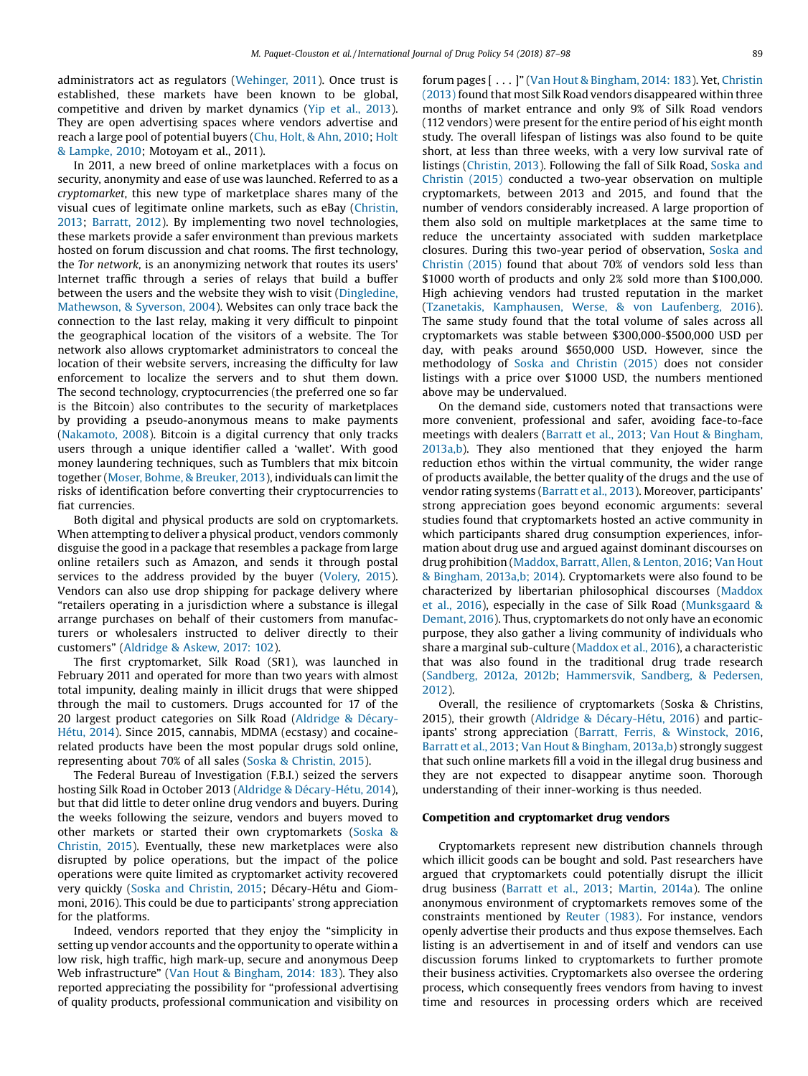administrators act as regulators ([Wehinger,](#page-11-0) 2011). Once trust is established, these markets have been known to be global, competitive and driven by market dynamics (Yip et al., [2013](#page-11-0)). They are open advertising spaces where vendors advertise and reach a large pool of potential buyers (Chu, [Holt,](#page-10-0) & Ahn, 2010; [Holt](#page-10-0) & [Lampke,](#page-10-0) 2010; Motoyam et al., 2011).

In 2011, a new breed of online marketplaces with a focus on security, anonymity and ease of use was launched. Referred to as a cryptomarket, this new type of marketplace shares many of the visual cues of legitimate online markets, such as eBay [\(Christin,](#page-10-0) [2013](#page-10-0); [Barratt,](#page-10-0) 2012). By implementing two novel technologies, these markets provide a safer environment than previous markets hosted on forum discussion and chat rooms. The first technology, the Tor network, is an anonymizing network that routes its users' Internet traffic through a series of relays that build a buffer between the users and the website they wish to visit [\(Dingledine,](#page-10-0) [Mathewson,](#page-10-0) & Syverson, 2004). Websites can only trace back the connection to the last relay, making it very difficult to pinpoint the geographical location of the visitors of a website. The Tor network also allows cryptomarket administrators to conceal the location of their website servers, increasing the difficulty for law enforcement to localize the servers and to shut them down. The second technology, cryptocurrencies (the preferred one so far is the Bitcoin) also contributes to the security of marketplaces by providing a pseudo-anonymous means to make payments ([Nakamoto,](#page-11-0) 2008). Bitcoin is a digital currency that only tracks users through a unique identifier called a 'wallet'. With good money laundering techniques, such as Tumblers that mix bitcoin together (Moser, Bohme, & [Breuker,](#page-11-0) 2013), individuals can limit the risks of identification before converting their cryptocurrencies to fiat currencies.

Both digital and physical products are sold on cryptomarkets. When attempting to deliver a physical product, vendors commonly disguise the good in a package that resembles a package from large online retailers such as Amazon, and sends it through postal services to the address provided by the buyer ([Volery,](#page-11-0) 2015). Vendors can also use drop shipping for package delivery where "retailers operating in a jurisdiction where a substance is illegal arrange purchases on behalf of their customers from manufacturers or wholesalers instructed to deliver directly to their customers" [\(Aldridge](#page-10-0) & Askew, 2017: 102).

The first cryptomarket, Silk Road (SR1), was launched in February 2011 and operated for more than two years with almost total impunity, dealing mainly in illicit drugs that were shipped through the mail to customers. Drugs accounted for 17 of the 20 largest product categories on Silk Road [\(Aldridge](#page-10-0) & Décary-[Hétu,](#page-10-0) 2014). Since 2015, cannabis, MDMA (ecstasy) and cocainerelated products have been the most popular drugs sold online, representing about 70% of all sales (Soska & [Christin,](#page-11-0) 2015).

The Federal Bureau of Investigation (F.B.I.) seized the servers hosting Silk Road in October 2013 (Aldridge & [Décary-Hétu,](#page-10-0) 2014), but that did little to deter online drug vendors and buyers. During the weeks following the seizure, vendors and buyers moved to other markets or started their own cryptomarkets ([Soska](#page-11-0) & [Christin,](#page-11-0) 2015). Eventually, these new marketplaces were also disrupted by police operations, but the impact of the police operations were quite limited as cryptomarket activity recovered very quickly (Soska and [Christin,](#page-11-0) 2015; Décary-Hétu and Giommoni, 2016). This could be due to participants' strong appreciation for the platforms.

Indeed, vendors reported that they enjoy the "simplicity in setting up vendor accounts and the opportunity to operate within a low risk, high traffic, high mark-up, secure and anonymous Deep Web infrastructure" (Van Hout & [Bingham,](#page-11-0) 2014: 183). They also reported appreciating the possibility for "professional advertising of quality products, professional communication and visibility on forum pages [ . . . ]" (Van Hout & [Bingham,](#page-11-0) 2014: 183). Yet, [Christin](#page-10-0) [\(2013\)](#page-10-0) found that most Silk Road vendors disappeared within three months of market entrance and only 9% of Silk Road vendors (112 vendors) were present for the entire period of his eight month study. The overall lifespan of listings was also found to be quite short, at less than three weeks, with a very low survival rate of listings [\(Christin,](#page-10-0) 2013). Following the fall of Silk Road, [Soska](#page-11-0) and [Christin](#page-11-0) (2015) conducted a two-year observation on multiple cryptomarkets, between 2013 and 2015, and found that the number of vendors considerably increased. A large proportion of them also sold on multiple marketplaces at the same time to reduce the uncertainty associated with sudden marketplace closures. During this two-year period of observation, [Soska](#page-11-0) and [Christin](#page-11-0) (2015) found that about 70% of vendors sold less than \$1000 worth of products and only 2% sold more than \$100,000. High achieving vendors had trusted reputation in the market (Tzanetakis, [Kamphausen,](#page-11-0) Werse, & von Laufenberg, 2016). The same study found that the total volume of sales across all cryptomarkets was stable between \$300,000-\$500,000 USD per day, with peaks around \$650,000 USD. However, since the methodology of Soska and [Christin](#page-11-0) (2015) does not consider listings with a price over \$1000 USD, the numbers mentioned above may be undervalued.

On the demand side, customers noted that transactions were more convenient, professional and safer, avoiding face-to-face meetings with dealers ([Barratt](#page-10-0) et al., 2013; Van Hout & [Bingham,](#page-11-0) [2013a,b\)](#page-11-0). They also mentioned that they enjoyed the harm reduction ethos within the virtual community, the wider range of products available, the better quality of the drugs and the use of vendor rating systems ([Barratt](#page-10-0) et al., 2013). Moreover, participants' strong appreciation goes beyond economic arguments: several studies found that cryptomarkets hosted an active community in which participants shared drug consumption experiences, information about drug use and argued against dominant discourses on drug prohibition ([Maddox,](#page-10-0) Barratt, Allen, & Lenton, 2016; Van [Hout](#page-11-0) & [Bingham,](#page-11-0) 2013a,b; 2014). Cryptomarkets were also found to be characterized by libertarian philosophical discourses ([Maddox](#page-10-0) et al., [2016](#page-10-0)), especially in the case of Silk Road ([Munksgaard](#page-11-0) & [Demant,](#page-11-0) 2016). Thus, cryptomarkets do not only have an economic purpose, they also gather a living community of individuals who share a marginal sub-culture [\(Maddox](#page-10-0) et al., 2016), a characteristic that was also found in the traditional drug trade research ([Sandberg,](#page-11-0) 2012a, 2012b; [Hammersvik,](#page-10-0) Sandberg, & Pedersen, [2012](#page-10-0)).

Overall, the resilience of cryptomarkets (Soska & Christins, 2015), their growth (Aldridge & [Décary-Hétu,](#page-10-0) 2016) and participants' strong appreciation (Barratt, Ferris, & [Winstock,](#page-10-0) 2016, [Barratt](#page-10-0) et al., 2013; Van Hout & [Bingham,](#page-11-0) 2013a,b) strongly suggest that such online markets fill a void in the illegal drug business and they are not expected to disappear anytime soon. Thorough understanding of their inner-working is thus needed.

# Competition and cryptomarket drug vendors

Cryptomarkets represent new distribution channels through which illicit goods can be bought and sold. Past researchers have argued that cryptomarkets could potentially disrupt the illicit drug business [\(Barratt](#page-10-0) et al., 2013; [Martin,](#page-10-0) 2014a). The online anonymous environment of cryptomarkets removes some of the constraints mentioned by [Reuter](#page-11-0) (1983). For instance, vendors openly advertise their products and thus expose themselves. Each listing is an advertisement in and of itself and vendors can use discussion forums linked to cryptomarkets to further promote their business activities. Cryptomarkets also oversee the ordering process, which consequently frees vendors from having to invest time and resources in processing orders which are received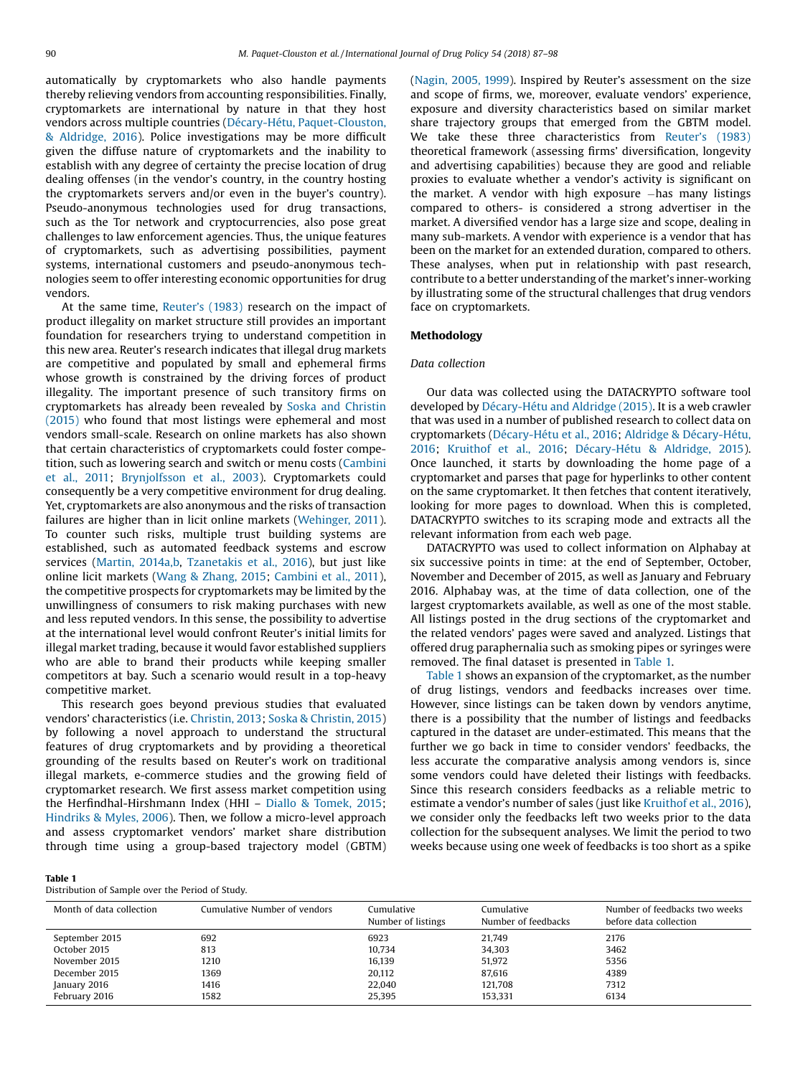automatically by cryptomarkets who also handle payments thereby relieving vendors from accounting responsibilities. Finally, cryptomarkets are international by nature in that they host vendors across multiple countries (Décary-Hétu, [Paquet-Clouston,](#page-10-0) & [Aldridge,](#page-10-0) 2016). Police investigations may be more difficult given the diffuse nature of cryptomarkets and the inability to establish with any degree of certainty the precise location of drug dealing offenses (in the vendor's country, in the country hosting the cryptomarkets servers and/or even in the buyer's country). Pseudo-anonymous technologies used for drug transactions, such as the Tor network and cryptocurrencies, also pose great challenges to law enforcement agencies. Thus, the unique features of cryptomarkets, such as advertising possibilities, payment systems, international customers and pseudo-anonymous technologies seem to offer interesting economic opportunities for drug vendors.

At the same time, [Reuter](#page-11-0)'s (1983) research on the impact of product illegality on market structure still provides an important foundation for researchers trying to understand competition in this new area. Reuter's research indicates that illegal drug markets are competitive and populated by small and ephemeral firms whose growth is constrained by the driving forces of product illegality. The important presence of such transitory firms on cryptomarkets has already been revealed by Soska and [Christin](#page-11-0) [\(2015\)](#page-11-0) who found that most listings were ephemeral and most vendors small-scale. Research on online markets has also shown that certain characteristics of cryptomarkets could foster competition, such as lowering search and switch or menu costs [\(Cambini](#page-10-0) et al., [2011](#page-10-0); [Brynjolfsson](#page-10-0) et al., 2003). Cryptomarkets could consequently be a very competitive environment for drug dealing. Yet, cryptomarkets are also anonymous and the risks of transaction failures are higher than in licit online markets ([Wehinger,](#page-11-0) 2011). To counter such risks, multiple trust building systems are established, such as automated feedback systems and escrow services (Martin, [2014a,b](#page-10-0), [Tzanetakis](#page-11-0) et al., 2016), but just like online licit markets (Wang & [Zhang,](#page-11-0) 2015; [Cambini](#page-10-0) et al., 2011), the competitive prospects for cryptomarkets may be limited by the unwillingness of consumers to risk making purchases with new and less reputed vendors. In this sense, the possibility to advertise at the international level would confront Reuter's initial limits for illegal market trading, because it would favor established suppliers who are able to brand their products while keeping smaller competitors at bay. Such a scenario would result in a top-heavy competitive market.

This research goes beyond previous studies that evaluated vendors' characteristics (i.e. [Christin,](#page-10-0) 2013; Soska & [Christin,](#page-11-0) 2015) by following a novel approach to understand the structural features of drug cryptomarkets and by providing a theoretical grounding of the results based on Reuter's work on traditional illegal markets, e-commerce studies and the growing field of cryptomarket research. We first assess market competition using the Herfindhal-Hirshmann Index (HHI – Diallo & [Tomek,](#page-10-0) 2015; [Hindriks](#page-10-0) & Myles, 2006). Then, we follow a micro-level approach and assess cryptomarket vendors' market share distribution through time using a group-based trajectory model (GBTM)

([Nagin,](#page-11-0) 2005, 1999). Inspired by Reuter's assessment on the size and scope of firms, we, moreover, evaluate vendors' experience, exposure and diversity characteristics based on similar market share trajectory groups that emerged from the GBTM model. We take these three characteristics from [Reuter](#page-11-0)'s (1983) theoretical framework (assessing firms' diversification, longevity and advertising capabilities) because they are good and reliable proxies to evaluate whether a vendor's activity is significant on the market. A vendor with high exposure  $-$ has many listings compared to others- is considered a strong advertiser in the market. A diversified vendor has a large size and scope, dealing in many sub-markets. A vendor with experience is a vendor that has been on the market for an extended duration, compared to others. These analyses, when put in relationship with past research, contribute to a better understanding of the market's inner-working by illustrating some of the structural challenges that drug vendors face on cryptomarkets.

#### Methodology

# Data collection

Our data was collected using the DATACRYPTO software tool developed by [Décary-Hétu](#page-10-0) and Aldridge (2015). It is a web crawler that was used in a number of published research to collect data on cryptomarkets ([Décary-Hétu](#page-10-0) et al., 2016; Aldridge & [Décary-Hétu,](#page-10-0) [2016](#page-10-0); [Kruithof](#page-10-0) et al., 2016; [Décary-Hétu](#page-10-0) & Aldridge, 2015). Once launched, it starts by downloading the home page of a cryptomarket and parses that page for hyperlinks to other content on the same cryptomarket. It then fetches that content iteratively, looking for more pages to download. When this is completed, DATACRYPTO switches to its scraping mode and extracts all the relevant information from each web page.

DATACRYPTO was used to collect information on Alphabay at six successive points in time: at the end of September, October, November and December of 2015, as well as January and February 2016. Alphabay was, at the time of data collection, one of the largest cryptomarkets available, as well as one of the most stable. All listings posted in the drug sections of the cryptomarket and the related vendors' pages were saved and analyzed. Listings that offered drug paraphernalia such as smoking pipes or syringes were removed. The final dataset is presented in Table 1.

Table 1 shows an expansion of the cryptomarket, as the number of drug listings, vendors and feedbacks increases over time. However, since listings can be taken down by vendors anytime, there is a possibility that the number of listings and feedbacks captured in the dataset are under-estimated. This means that the further we go back in time to consider vendors' feedbacks, the less accurate the comparative analysis among vendors is, since some vendors could have deleted their listings with feedbacks. Since this research considers feedbacks as a reliable metric to estimate a vendor's number of sales (just like [Kruithof](#page-10-0) et al., 2016), we consider only the feedbacks left two weeks prior to the data collection for the subsequent analyses. We limit the period to two weeks because using one week of feedbacks is too short as a spike

#### Table 1

Distribution of Sample over the Period of Study.

| Month of data collection | Cumulative Number of vendors | Cumulative<br>Number of listings | Cumulative<br>Number of feedbacks | Number of feedbacks two weeks<br>before data collection |
|--------------------------|------------------------------|----------------------------------|-----------------------------------|---------------------------------------------------------|
| September 2015           | 692                          | 6923                             | 21.749                            | 2176                                                    |
| October 2015             | 813                          | 10.734                           | 34.303                            | 3462                                                    |
| November 2015            | 1210                         | 16.139                           | 51.972                            | 5356                                                    |
| December 2015            | 1369                         | 20.112                           | 87.616                            | 4389                                                    |
| January 2016             | 1416                         | 22,040                           | 121,708                           | 7312                                                    |
| February 2016            | 1582                         | 25.395                           | 153.331                           | 6134                                                    |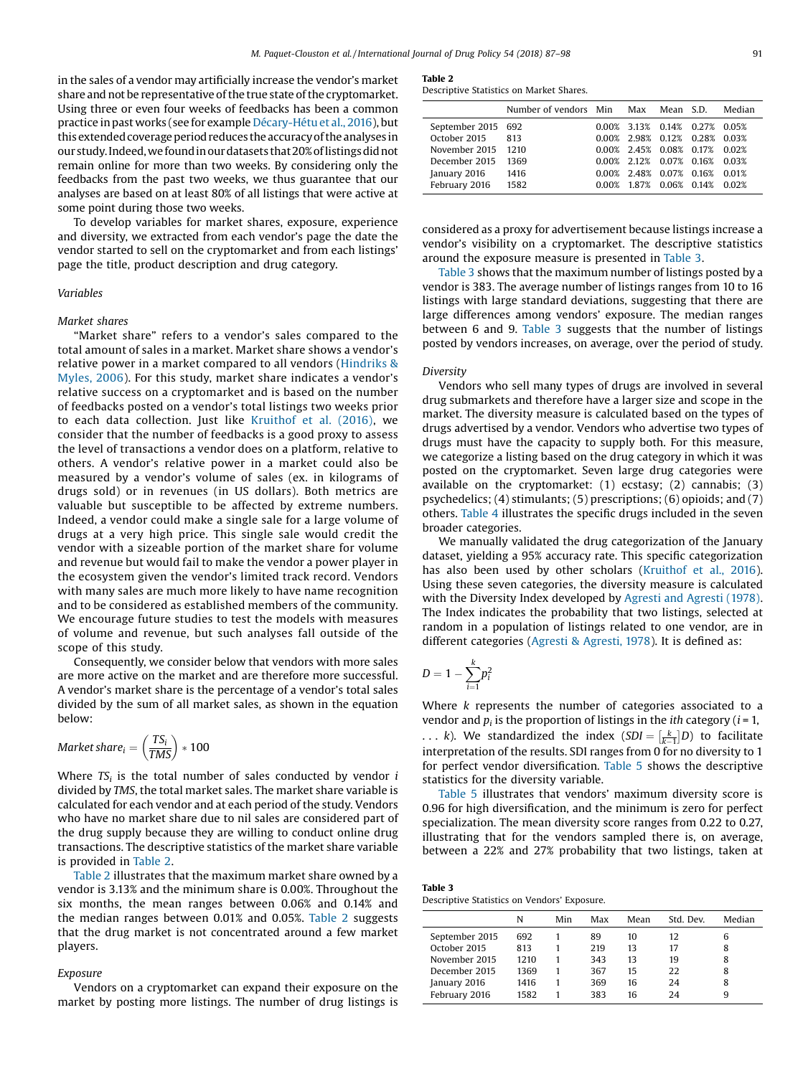in the sales of a vendor may artificially increase the vendor's market share and not be representative of the true state of the cryptomarket. Using three or even four weeks of feedbacks has been a common practice inpast works (see for example [Décary-Hétu](#page-10-0) et al., 2016), but this extended coverage period reduces the accuracy of the analyses in ourstudy.Indeed,we found in our datasets that20%oflistingsdidnot remain online for more than two weeks. By considering only the feedbacks from the past two weeks, we thus guarantee that our analyses are based on at least 80% of all listings that were active at some point during those two weeks.

To develop variables for market shares, exposure, experience and diversity, we extracted from each vendor's page the date the vendor started to sell on the cryptomarket and from each listings' page the title, product description and drug category.

#### Variables

#### Market shares

"Market share" refers to a vendor's sales compared to the total amount of sales in a market. Market share shows a vendor's relative power in a market compared to all vendors [\(Hindriks](#page-10-0) & [Myles,](#page-10-0) 2006). For this study, market share indicates a vendor's relative success on a cryptomarket and is based on the number of feedbacks posted on a vendor's total listings two weeks prior to each data collection. Just like [Kruithof](#page-10-0) et al. (2016), we consider that the number of feedbacks is a good proxy to assess the level of transactions a vendor does on a platform, relative to others. A vendor's relative power in a market could also be measured by a vendor's volume of sales (ex. in kilograms of drugs sold) or in revenues (in US dollars). Both metrics are valuable but susceptible to be affected by extreme numbers. Indeed, a vendor could make a single sale for a large volume of drugs at a very high price. This single sale would credit the vendor with a sizeable portion of the market share for volume and revenue but would fail to make the vendor a power player in the ecosystem given the vendor's limited track record. Vendors with many sales are much more likely to have name recognition and to be considered as established members of the community. We encourage future studies to test the models with measures of volume and revenue, but such analyses fall outside of the scope of this study.

Consequently, we consider below that vendors with more sales are more active on the market and are therefore more successful. A vendor's market share is the percentage of a vendor's total sales divided by the sum of all market sales, as shown in the equation below:

Market share<sub>i</sub> = 
$$
\left(\frac{TS_i}{TMS}\right) * 100
$$

Where  $TS_i$  is the total number of sales conducted by vendor  $i$ divided by TMS, the total market sales. The market share variable is calculated for each vendor and at each period of the study. Vendors who have no market share due to nil sales are considered part of the drug supply because they are willing to conduct online drug transactions. The descriptive statistics of the market share variable is provided in Table 2.

Table 2 illustrates that the maximum market share owned by a vendor is 3.13% and the minimum share is 0.00%. Throughout the six months, the mean ranges between 0.06% and 0.14% and the median ranges between 0.01% and 0.05%. Table 2 suggests that the drug market is not concentrated around a few market players.

#### Exposure

Vendors on a cryptomarket can expand their exposure on the market by posting more listings. The number of drug listings is

#### Table 2

Descriptive Statistics on Market Shares.

|                    | Number of vendors Min Max Mean S.D. |       |             |                                     | Median |
|--------------------|-------------------------------------|-------|-------------|-------------------------------------|--------|
| September 2015 692 |                                     |       |             | $0.00\%$ 3.13% $0.14\%$ 0.27% 0.05% |        |
| October 2015       | 813                                 |       |             | 0.00% 2.98% 0.12% 0.28% 0.03%       |        |
| November 2015 1210 |                                     |       |             | $0.00\%$ 2.45% $0.08\%$ 0.17% 0.02% |        |
| December 2015      | 1369                                |       |             | $0.00\%$ 2.12% $0.07\%$ 0.16%       | 0.03%  |
| January 2016       | 1416                                |       | 0.00% 2.48% | 0.07% 0.16%                         | 0.01%  |
| February 2016      | 1582                                | 0.00% | 187%        | 0.06% 0.14%                         | 0.02%  |

considered as a proxy for advertisement because listings increase a vendor's visibility on a cryptomarket. The descriptive statistics around the exposure measure is presented in Table 3.

Table 3 shows that the maximum number of listings posted by a vendor is 383. The average number of listings ranges from 10 to 16 listings with large standard deviations, suggesting that there are large differences among vendors' exposure. The median ranges between 6 and 9. Table 3 suggests that the number of listings posted by vendors increases, on average, over the period of study.

#### Diversity

Vendors who sell many types of drugs are involved in several drug submarkets and therefore have a larger size and scope in the market. The diversity measure is calculated based on the types of drugs advertised by a vendor. Vendors who advertise two types of drugs must have the capacity to supply both. For this measure, we categorize a listing based on the drug category in which it was posted on the cryptomarket. Seven large drug categories were available on the cryptomarket: (1) ecstasy; (2) cannabis; (3) psychedelics; (4) stimulants; (5) prescriptions; (6) opioids; and (7) others. [Table](#page-5-0) 4 illustrates the specific drugs included in the seven broader categories.

We manually validated the drug categorization of the January dataset, yielding a 95% accuracy rate. This specific categorization has also been used by other scholars [\(Kruithof](#page-10-0) et al., 2016). Using these seven categories, the diversity measure is calculated with the Diversity Index developed by Agresti and [Agresti](#page-10-0) (1978). The Index indicates the probability that two listings, selected at random in a population of listings related to one vendor, are in different categories (Agresti & [Agresti,](#page-10-0) 1978). It is defined as:

$$
D=1-\sum_{i=1}^k p_i^2
$$

Where  $k$  represents the number of categories associated to a vendor and  $p_i$  is the proportion of listings in the *ith* category ( $i = 1$ ,  $\ldots$  k). We standardized the index  $(SDI = \begin{bmatrix} k \\ k-1 \end{bmatrix}D)$  to facilitate interpretation of the results. SDI ranges from 0 for no diversity to 1 for perfect vendor diversification. [Table](#page-5-0) 5 shows the descriptive statistics for the diversity variable.

[Table](#page-5-0) 5 illustrates that vendors' maximum diversity score is 0.96 for high diversification, and the minimum is zero for perfect specialization. The mean diversity score ranges from 0.22 to 0.27, illustrating that for the vendors sampled there is, on average, between a 22% and 27% probability that two listings, taken at

| Table 3                                      |  |
|----------------------------------------------|--|
| Descriptive Statistics on Vendors' Exposure. |  |

|                | N    | Min | Max | Mean | Std. Dev. | Median |
|----------------|------|-----|-----|------|-----------|--------|
| September 2015 | 692  |     | 89  | 10   | 12        | 6      |
| October 2015   | 813  |     | 219 | 13   | 17        | 8      |
| November 2015  | 1210 |     | 343 | 13   | 19        | 8      |
| December 2015  | 1369 |     | 367 | 15   | 22        | 8      |
| January 2016   | 1416 |     | 369 | 16   | 24        | 8      |
| February 2016  | 1582 |     | 383 | 16   | 24        | q      |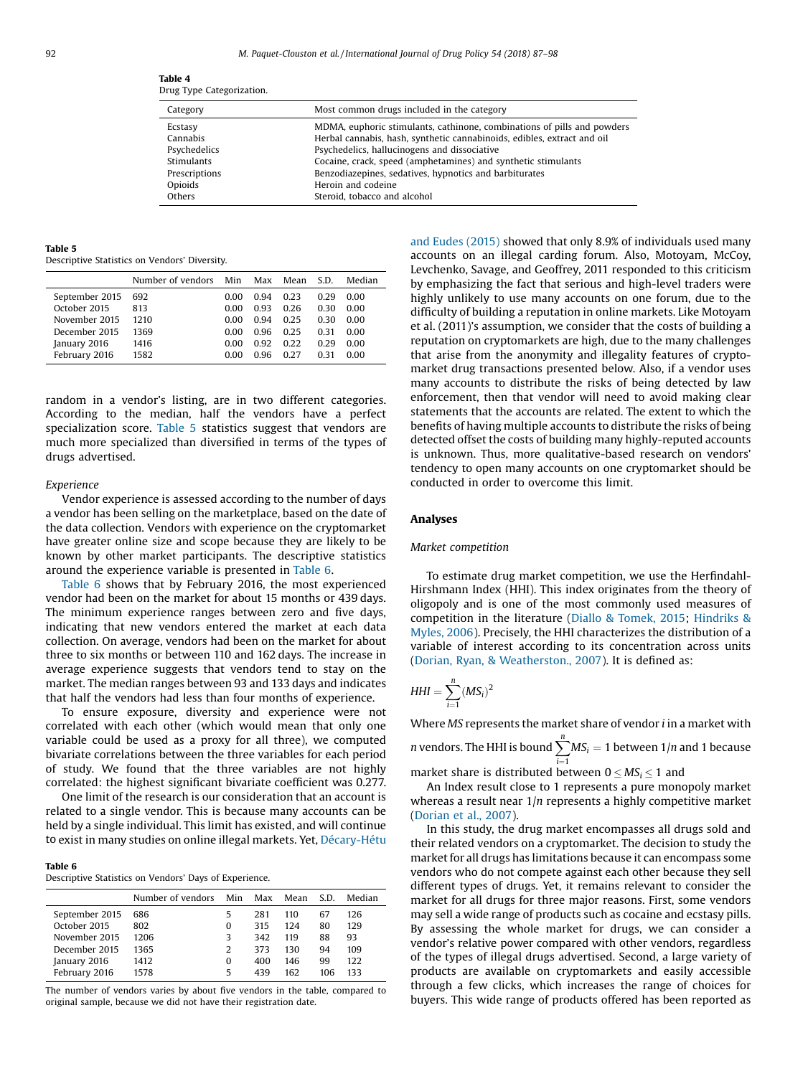| Drug Type Categorization. |                                                                         |
|---------------------------|-------------------------------------------------------------------------|
| Category                  | Most common drugs included in the category                              |
| Ecstasy                   | MDMA, euphoric stimulants, cathinone, combinations of pills and powders |
| Cannabis                  | Herbal cannabis, hash, synthetic cannabinoids, edibles, extract and oil |
| Psychedelics              | Psychedelics, hallucinogens and dissociative                            |
| Stimulants                | Cocaine, crack, speed (amphetamines) and synthetic stimulants           |
| Prescriptions             | Benzodiazepines, sedatives, hypnotics and barbiturates                  |
| Opioids                   | Heroin and codeine                                                      |
| Others                    | Steroid, tobacco and alcohol                                            |

Table 5

Descriptive Statistics on Vendors' Diversity.

<span id="page-5-0"></span>Table 4

|                | Number of vendors | Min  | Max  | Mean | S.D. | Median |
|----------------|-------------------|------|------|------|------|--------|
| September 2015 | 692               | 0.00 | በ 94 | 0.23 | 0.29 | 0.00   |
| October 2015   | 813               | 0.00 | 0.93 | 0.26 | 0.30 | 0.00   |
| November 2015  | 1210              | 0.OO | 0.94 | 0.25 | 0.30 | 0.00   |
| December 2015  | 1369              | 0.OO | 0.96 | 0.25 | 0.31 | 0.00   |
| January 2016   | 1416              | 0.OO | 0.92 | 0.22 | 0.29 | 0.00   |
| February 2016  | 1582              | 0.OO | 0 ዓ6 | 0.27 | 0.31 | ი იი   |

random in a vendor's listing, are in two different categories. According to the median, half the vendors have a perfect specialization score. Table 5 statistics suggest that vendors are much more specialized than diversified in terms of the types of drugs advertised.

#### Experience

Vendor experience is assessed according to the number of days a vendor has been selling on the marketplace, based on the date of the data collection. Vendors with experience on the cryptomarket have greater online size and scope because they are likely to be known by other market participants. The descriptive statistics around the experience variable is presented in Table 6.

Table 6 shows that by February 2016, the most experienced vendor had been on the market for about 15 months or 439 days. The minimum experience ranges between zero and five days, indicating that new vendors entered the market at each data collection. On average, vendors had been on the market for about three to six months or between 110 and 162 days. The increase in average experience suggests that vendors tend to stay on the market. The median ranges between 93 and 133 days and indicates that half the vendors had less than four months of experience.

To ensure exposure, diversity and experience were not correlated with each other (which would mean that only one variable could be used as a proxy for all three), we computed bivariate correlations between the three variables for each period of study. We found that the three variables are not highly correlated: the highest significant bivariate coefficient was 0.277.

One limit of the research is our consideration that an account is related to a single vendor. This is because many accounts can be held by a single individual. This limit has existed, and will continue to exist in many studies on online illegal markets. Yet, [Décary-Hétu](#page-10-0)

#### Table 6

| Descriptive Statistics on Vendors' Days of Experience. |  |  |  |
|--------------------------------------------------------|--|--|--|
|--------------------------------------------------------|--|--|--|

|                | Number of vendors | Min | Max | Mean | S.D. | Median |
|----------------|-------------------|-----|-----|------|------|--------|
| September 2015 | 686               | 5   | 281 | 110  | 67   | 126    |
| October 2015   | 802               | 0   | 315 | 124  | 80   | 129    |
| November 2015  | 1206              | 3   | 342 | 119  | 88   | 93     |
| December 2015  | 1365              | 2   | 373 | 130  | 94   | 109    |
| January 2016   | 1412              | O   | 400 | 146  | 99   | 122    |
| February 2016  | 1578              | 5   | 439 | 162  | 106  | 133    |

The number of vendors varies by about five vendors in the table, compared to original sample, because we did not have their registration date.

and Eudes [\(2015\)](#page-10-0) showed that only 8.9% of individuals used many accounts on an illegal carding forum. Also, Motoyam, McCoy, Levchenko, Savage, and Geoffrey, 2011 responded to this criticism by emphasizing the fact that serious and high-level traders were highly unlikely to use many accounts on one forum, due to the difficulty of building a reputation in online markets. Like Motoyam et al. (2011)'s assumption, we consider that the costs of building a reputation on cryptomarkets are high, due to the many challenges that arise from the anonymity and illegality features of cryptomarket drug transactions presented below. Also, if a vendor uses many accounts to distribute the risks of being detected by law enforcement, then that vendor will need to avoid making clear statements that the accounts are related. The extent to which the benefits of having multiple accounts to distribute the risks of being detected offset the costs of building many highly-reputed accounts is unknown. Thus, more qualitative-based research on vendors' tendency to open many accounts on one cryptomarket should be conducted in order to overcome this limit.

# Analyses

#### Market competition

To estimate drug market competition, we use the Herfindahl-Hirshmann Index (HHI). This index originates from the theory of oligopoly and is one of the most commonly used measures of competition in the literature (Diallo & [Tomek,](#page-10-0) 2015; [Hindriks](#page-10-0) & [Myles,](#page-10-0) 2006). Precisely, the HHI characterizes the distribution of a variable of interest according to its concentration across units (Dorian, Ryan, & [Weatherston.,](#page-10-0) 2007). It is defined as:

$$
HHI = \sum_{i=1}^{n} (MS_i)^2
$$

Where MS represents the market share of vendor i in a market with *n* vendors. The HHI is bound  $\sum_{n=1}^n$  $\sum_{i=1}^{N}MS_i = 1$  between 1/n and 1 because market share is distributed between  $0 \leq MS_i \leq 1$  and

An Index result close to 1 represents a pure monopoly market whereas a result near  $1/n$  represents a highly competitive market ([Dorian](#page-10-0) et al., 2007).

In this study, the drug market encompasses all drugs sold and their related vendors on a cryptomarket. The decision to study the market for all drugs has limitations because it can encompass some vendors who do not compete against each other because they sell different types of drugs. Yet, it remains relevant to consider the market for all drugs for three major reasons. First, some vendors may sell a wide range of products such as cocaine and ecstasy pills. By assessing the whole market for drugs, we can consider a vendor's relative power compared with other vendors, regardless of the types of illegal drugs advertised. Second, a large variety of products are available on cryptomarkets and easily accessible through a few clicks, which increases the range of choices for buyers. This wide range of products offered has been reported as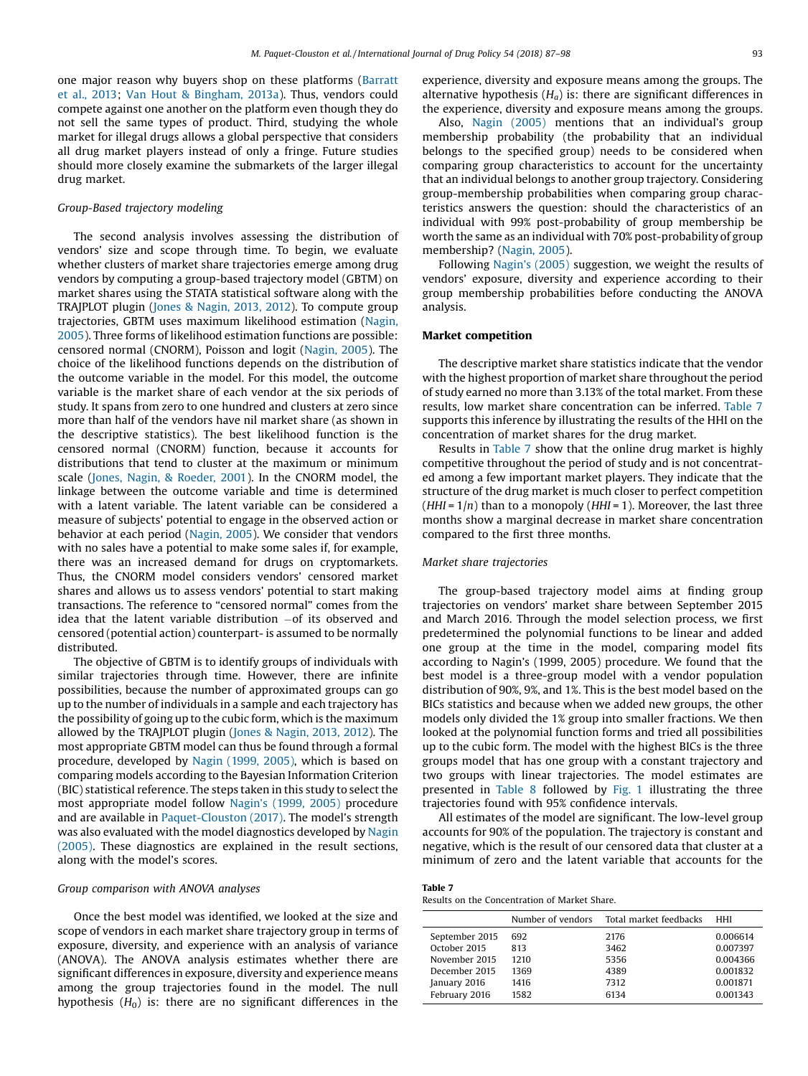one major reason why buyers shop on these platforms [\(Barratt](#page-10-0) et al., [2013](#page-10-0); Van Hout & [Bingham,](#page-11-0) 2013a). Thus, vendors could compete against one another on the platform even though they do not sell the same types of product. Third, studying the whole market for illegal drugs allows a global perspective that considers all drug market players instead of only a fringe. Future studies should more closely examine the submarkets of the larger illegal drug market.

#### Group-Based trajectory modeling

The second analysis involves assessing the distribution of vendors' size and scope through time. To begin, we evaluate whether clusters of market share trajectories emerge among drug vendors by computing a group-based trajectory model (GBTM) on market shares using the STATA statistical software along with the TRAJPLOT plugin (Jones & [Nagin,](#page-10-0) 2013, 2012). To compute group trajectories, GBTM uses maximum likelihood estimation [\(Nagin,](#page-11-0) [2005](#page-11-0)). Three forms of likelihood estimation functions are possible: censored normal (CNORM), Poisson and logit [\(Nagin,](#page-11-0) 2005). The choice of the likelihood functions depends on the distribution of the outcome variable in the model. For this model, the outcome variable is the market share of each vendor at the six periods of study. It spans from zero to one hundred and clusters at zero since more than half of the vendors have nil market share (as shown in the descriptive statistics). The best likelihood function is the censored normal (CNORM) function, because it accounts for distributions that tend to cluster at the maximum or minimum scale (Jones, Nagin, & [Roeder,](#page-10-0) 2001). In the CNORM model, the linkage between the outcome variable and time is determined with a latent variable. The latent variable can be considered a measure of subjects' potential to engage in the observed action or behavior at each period ([Nagin,](#page-11-0) 2005). We consider that vendors with no sales have a potential to make some sales if, for example, there was an increased demand for drugs on cryptomarkets. Thus, the CNORM model considers vendors' censored market shares and allows us to assess vendors' potential to start making transactions. The reference to "censored normal" comes from the idea that the latent variable distribution  $-$ of its observed and censored (potential action) counterpart- is assumed to be normally distributed.

The objective of GBTM is to identify groups of individuals with similar trajectories through time. However, there are infinite possibilities, because the number of approximated groups can go up to the number of individuals in a sample and each trajectory has the possibility of going up to the cubic form, which is the maximum allowed by the TRAJPLOT plugin (Jones & [Nagin,](#page-10-0) 2013, 2012). The most appropriate GBTM model can thus be found through a formal procedure, developed by Nagin [\(1999,](#page-11-0) 2005), which is based on comparing models according to the Bayesian Information Criterion (BIC) statistical reference. The steps taken in this study to select the most appropriate model follow Nagin's [\(1999,](#page-11-0) 2005) procedure and are available in [Paquet-Clouston](#page-11-0) (2017). The model's strength was also evaluated with the model diagnostics developed by [Nagin](#page-11-0) [\(2005\)](#page-11-0). These diagnostics are explained in the result sections, along with the model's scores.

#### Group comparison with ANOVA analyses

Once the best model was identified, we looked at the size and scope of vendors in each market share trajectory group in terms of exposure, diversity, and experience with an analysis of variance (ANOVA). The ANOVA analysis estimates whether there are significant differences in exposure, diversity and experience means among the group trajectories found in the model. The null hypothesis  $(H_0)$  is: there are no significant differences in the

experience, diversity and exposure means among the groups. The alternative hypothesis  $(H_a)$  is: there are significant differences in the experience, diversity and exposure means among the groups.

Also, Nagin [\(2005\)](#page-11-0) mentions that an individual's group membership probability (the probability that an individual belongs to the specified group) needs to be considered when comparing group characteristics to account for the uncertainty that an individual belongs to another group trajectory. Considering group-membership probabilities when comparing group characteristics answers the question: should the characteristics of an individual with 99% post-probability of group membership be worth the same as an individual with 70% post-probability of group membership? [\(Nagin,](#page-11-0) 2005).

Following Nagin's [\(2005\)](#page-11-0) suggestion, we weight the results of vendors' exposure, diversity and experience according to their group membership probabilities before conducting the ANOVA analysis.

#### Market competition

The descriptive market share statistics indicate that the vendor with the highest proportion of market share throughout the period of study earned no more than 3.13% of the total market. From these results, low market share concentration can be inferred. Table 7 supports this inference by illustrating the results of the HHI on the concentration of market shares for the drug market.

Results in Table 7 show that the online drug market is highly competitive throughout the period of study and is not concentrated among a few important market players. They indicate that the structure of the drug market is much closer to perfect competition (HHI =  $1/n$ ) than to a monopoly (HHI = 1). Moreover, the last three months show a marginal decrease in market share concentration compared to the first three months.

# Market share trajectories

The group-based trajectory model aims at finding group trajectories on vendors' market share between September 2015 and March 2016. Through the model selection process, we first predetermined the polynomial functions to be linear and added one group at the time in the model, comparing model fits according to Nagin's (1999, 2005) procedure. We found that the best model is a three-group model with a vendor population distribution of 90%, 9%, and 1%. This is the best model based on the BICs statistics and because when we added new groups, the other models only divided the 1% group into smaller fractions. We then looked at the polynomial function forms and tried all possibilities up to the cubic form. The model with the highest BICs is the three groups model that has one group with a constant trajectory and two groups with linear trajectories. The model estimates are presented in [Table](#page-7-0) 8 followed by [Fig.](#page-7-0) 1 illustrating the three trajectories found with 95% confidence intervals.

All estimates of the model are significant. The low-level group accounts for 90% of the population. The trajectory is constant and negative, which is the result of our censored data that cluster at a minimum of zero and the latent variable that accounts for the

| Table 7                                       |  |  |
|-----------------------------------------------|--|--|
| Results on the Concentration of Market Share. |  |  |

|                | Number of vendors | Total market feedbacks | HHI      |
|----------------|-------------------|------------------------|----------|
| September 2015 | 692               | 2176                   | 0.006614 |
| October 2015   | 813               | 3462                   | 0.007397 |
| November 2015  | 1210              | 5356                   | 0.004366 |
| December 2015  | 1369              | 4389                   | 0.001832 |
| January 2016   | 1416              | 7312                   | 0.001871 |
| February 2016  | 1582              | 6134                   | 0.001343 |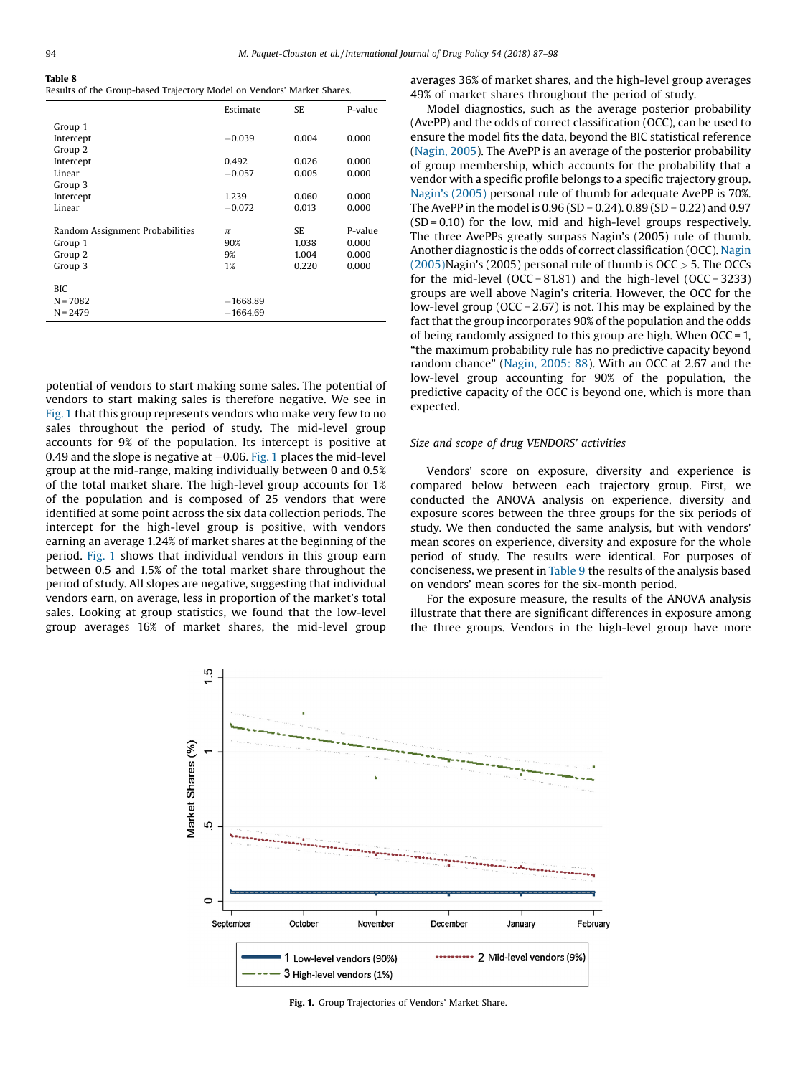# <span id="page-7-0"></span>Table 8

Results of the Group-based Trajectory Model on Vendors' Market Shares.

|                                 | Estimate   | SE    | P-value |
|---------------------------------|------------|-------|---------|
| Group 1                         |            |       |         |
| Intercept                       | $-0.039$   | 0.004 | 0.000   |
| Group 2                         |            |       |         |
| Intercept                       | 0.492      | 0.026 | 0.000   |
| Linear                          | $-0.057$   | 0.005 | 0.000   |
| Group 3                         |            |       |         |
| Intercept                       | 1.239      | 0.060 | 0.000   |
| Linear                          | $-0.072$   | 0.013 | 0.000   |
|                                 |            |       |         |
| Random Assignment Probabilities | $\pi$      | SE.   | P-value |
| Group 1                         | 90%        | 1.038 | 0.000   |
| Group 2                         | 9%         | 1.004 | 0.000   |
| Group 3                         | 1%         | 0.220 | 0.000   |
|                                 |            |       |         |
| <b>BIC</b>                      |            |       |         |
| $N = 7082$                      | $-1668.89$ |       |         |
| $N = 2479$                      | $-1664.69$ |       |         |

potential of vendors to start making some sales. The potential of vendors to start making sales is therefore negative. We see in Fig. 1 that this group represents vendors who make very few to no sales throughout the period of study. The mid-level group accounts for 9% of the population. Its intercept is positive at 0.49 and the slope is negative at  $-0.06$ . Fig. 1 places the mid-level group at the mid-range, making individually between 0 and 0.5% of the total market share. The high-level group accounts for 1% of the population and is composed of 25 vendors that were identified at some point across the six data collection periods. The intercept for the high-level group is positive, with vendors earning an average 1.24% of market shares at the beginning of the period. Fig. 1 shows that individual vendors in this group earn between 0.5 and 1.5% of the total market share throughout the period of study. All slopes are negative, suggesting that individual vendors earn, on average, less in proportion of the market's total sales. Looking at group statistics, we found that the low-level group averages 16% of market shares, the mid-level group averages 36% of market shares, and the high-level group averages 49% of market shares throughout the period of study.

Model diagnostics, such as the average posterior probability (AvePP) and the odds of correct classification (OCC), can be used to ensure the model fits the data, beyond the BIC statistical reference ([Nagin,](#page-11-0) 2005). The AvePP is an average of the posterior probability of group membership, which accounts for the probability that a vendor with a specific profile belongs to a specific trajectory group. Nagin's [\(2005\)](#page-11-0) personal rule of thumb for adequate AvePP is 70%. The AvePP in the model is 0.96 (SD = 0.24). 0.89 (SD = 0.22) and 0.97 (SD = 0.10) for the low, mid and high-level groups respectively. The three AvePPs greatly surpass Nagin's (2005) rule of thumb. Another diagnostic is the odds of correct classification (OCC). [Nagin](#page-11-0)  $(2005)$ Nagin's (2005) personal rule of thumb is OCC > 5. The OCCs for the mid-level  $(OCC = 81.81)$  and the high-level  $(OCC = 3233)$ groups are well above Nagin's criteria. However, the OCC for the low-level group (OCC = 2.67) is not. This may be explained by the fact that the group incorporates 90% of the population and the odds of being randomly assigned to this group are high. When OCC = 1, "the maximum probability rule has no predictive capacity beyond random chance" ([Nagin,](#page-11-0) 2005: 88). With an OCC at 2.67 and the low-level group accounting for 90% of the population, the predictive capacity of the OCC is beyond one, which is more than expected.

#### Size and scope of drug VENDORS' activities

Vendors' score on exposure, diversity and experience is compared below between each trajectory group. First, we conducted the ANOVA analysis on experience, diversity and exposure scores between the three groups for the six periods of study. We then conducted the same analysis, but with vendors' mean scores on experience, diversity and exposure for the whole period of study. The results were identical. For purposes of conciseness, we present in [Table](#page-8-0) 9 the results of the analysis based on vendors' mean scores for the six-month period.

For the exposure measure, the results of the ANOVA analysis illustrate that there are significant differences in exposure among the three groups. Vendors in the high-level group have more



Fig. 1. Group Trajectories of Vendors' Market Share.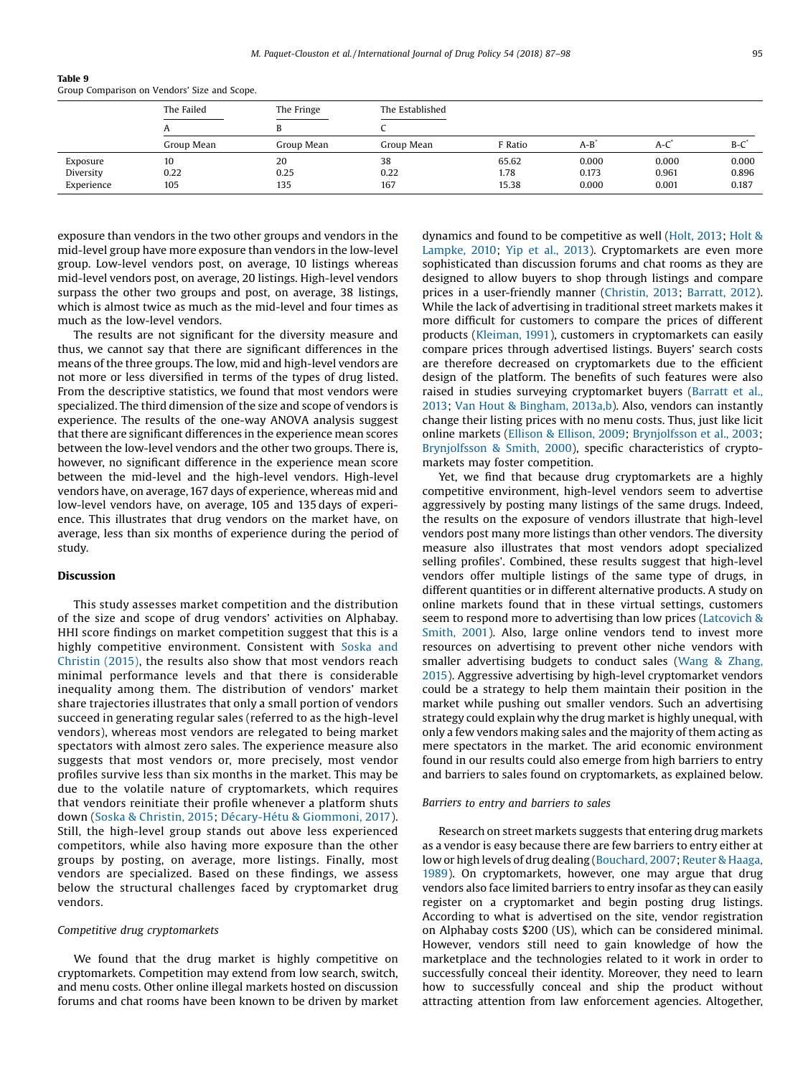|            | The Failed | The Fringe | The Established |         |       |       |       |  |
|------------|------------|------------|-----------------|---------|-------|-------|-------|--|
|            |            |            |                 |         |       |       |       |  |
|            | Group Mean | Group Mean | Group Mean      | F Ratio | $A-B$ | $A-C$ | $B-C$ |  |
| Exposure   | 10         | 20         | 38              | 65.62   | 0.000 | 0.000 | 0.000 |  |
| Diversity  | 0.22       | 0.25       | 0.22            | 1.78    | 0.173 | 0.961 | 0.896 |  |
| Experience | 105        | 135        | 167             | 15.38   | 0.000 | 0.001 | 0.187 |  |

| Table 9                                      |  |
|----------------------------------------------|--|
| Group Comparison on Vendors' Size and Scope. |  |

<span id="page-8-0"></span> $\pm$   $\pm$   $\pm$ 

exposure than vendors in the two other groups and vendors in the mid-level group have more exposure than vendors in the low-level group. Low-level vendors post, on average, 10 listings whereas mid-level vendors post, on average, 20 listings. High-level vendors surpass the other two groups and post, on average, 38 listings, which is almost twice as much as the mid-level and four times as much as the low-level vendors.

The results are not significant for the diversity measure and thus, we cannot say that there are significant differences in the means of the three groups. The low, mid and high-level vendors are not more or less diversified in terms of the types of drug listed. From the descriptive statistics, we found that most vendors were specialized. The third dimension of the size and scope of vendors is experience. The results of the one-way ANOVA analysis suggest that there are significant differences in the experience mean scores between the low-level vendors and the other two groups. There is, however, no significant difference in the experience mean score between the mid-level and the high-level vendors. High-level vendors have, on average,167 days of experience, whereas mid and low-level vendors have, on average, 105 and 135 days of experience. This illustrates that drug vendors on the market have, on average, less than six months of experience during the period of study.

#### Discussion

This study assesses market competition and the distribution of the size and scope of drug vendors' activities on Alphabay. HHI score findings on market competition suggest that this is a highly competitive environment. Consistent with [Soska](#page-11-0) and [Christin](#page-11-0) (2015), the results also show that most vendors reach minimal performance levels and that there is considerable inequality among them. The distribution of vendors' market share trajectories illustrates that only a small portion of vendors succeed in generating regular sales (referred to as the high-level vendors), whereas most vendors are relegated to being market spectators with almost zero sales. The experience measure also suggests that most vendors or, more precisely, most vendor profiles survive less than six months in the market. This may be due to the volatile nature of cryptomarkets, which requires that vendors reinitiate their profile whenever a platform shuts down (Soska & [Christin,](#page-11-0) 2015; [Décary-Hétu](#page-10-0) & Giommoni, 2017). Still, the high-level group stands out above less experienced competitors, while also having more exposure than the other groups by posting, on average, more listings. Finally, most vendors are specialized. Based on these findings, we assess below the structural challenges faced by cryptomarket drug vendors.

#### Competitive drug cryptomarkets

We found that the drug market is highly competitive on cryptomarkets. Competition may extend from low search, switch, and menu costs. Other online illegal markets hosted on discussion forums and chat rooms have been known to be driven by market dynamics and found to be competitive as well [\(Holt,](#page-10-0) 2013; [Holt](#page-10-0) & [Lampke,](#page-10-0) 2010; Yip et al., [2013](#page-11-0)). Cryptomarkets are even more sophisticated than discussion forums and chat rooms as they are designed to allow buyers to shop through listings and compare prices in a user-friendly manner [\(Christin,](#page-10-0) 2013; [Barratt,](#page-10-0) 2012). While the lack of advertising in traditional street markets makes it more difficult for customers to compare the prices of different products [\(Kleiman,](#page-10-0) 1991), customers in cryptomarkets can easily compare prices through advertised listings. Buyers' search costs are therefore decreased on cryptomarkets due to the efficient design of the platform. The benefits of such features were also raised in studies surveying cryptomarket buyers [\(Barratt](#page-10-0) et al., [2013](#page-10-0); Van Hout & [Bingham,](#page-11-0) 2013a,b). Also, vendors can instantly change their listing prices with no menu costs. Thus, just like licit online markets (Ellison & [Ellison,](#page-10-0) 2009; [Brynjolfsson](#page-10-0) et al., 2003; [Brynjolfsson](#page-10-0) & Smith, 2000), specific characteristics of cryptomarkets may foster competition.

Yet, we find that because drug cryptomarkets are a highly competitive environment, high-level vendors seem to advertise aggressively by posting many listings of the same drugs. Indeed, the results on the exposure of vendors illustrate that high-level vendors post many more listings than other vendors. The diversity measure also illustrates that most vendors adopt specialized selling profiles'. Combined, these results suggest that high-level vendors offer multiple listings of the same type of drugs, in different quantities or in different alternative products. A study on online markets found that in these virtual settings, customers seem to respond more to advertising than low prices ([Latcovich](#page-10-0) & [Smith,](#page-10-0) 2001). Also, large online vendors tend to invest more resources on advertising to prevent other niche vendors with smaller advertising budgets to conduct sales (Wang & [Zhang,](#page-11-0) [2015](#page-11-0)). Aggressive advertising by high-level cryptomarket vendors could be a strategy to help them maintain their position in the market while pushing out smaller vendors. Such an advertising strategy could explain why the drug market is highly unequal, with only a few vendors making sales and the majority of them acting as mere spectators in the market. The arid economic environment found in our results could also emerge from high barriers to entry and barriers to sales found on cryptomarkets, as explained below.

# Barriers to entry and barriers to sales

Research on street markets suggests that entering drug markets as a vendor is easy because there are few barriers to entry either at low or high levels of drug dealing [\(Bouchard,](#page-10-0) 2007; Reuter & [Haaga,](#page-11-0) [1989](#page-11-0)). On cryptomarkets, however, one may argue that drug vendors also face limited barriers to entry insofar as they can easily register on a cryptomarket and begin posting drug listings. According to what is advertised on the site, vendor registration on Alphabay costs \$200 (US), which can be considered minimal. However, vendors still need to gain knowledge of how the marketplace and the technologies related to it work in order to successfully conceal their identity. Moreover, they need to learn how to successfully conceal and ship the product without attracting attention from law enforcement agencies. Altogether,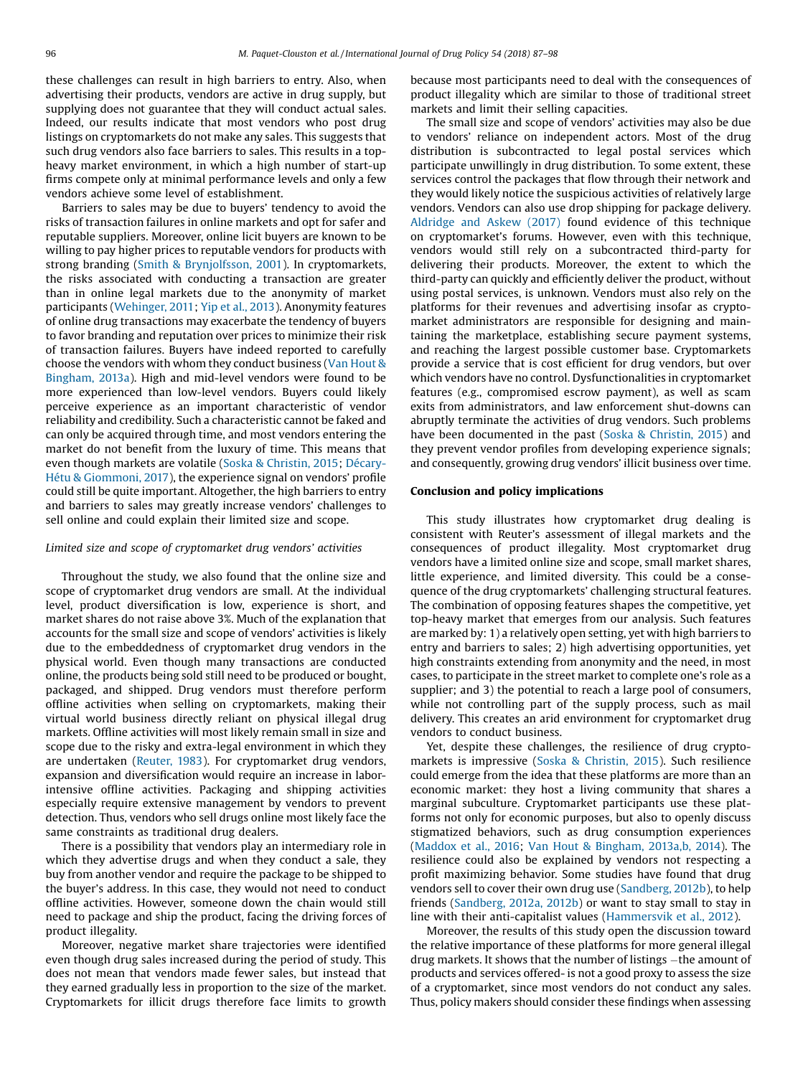these challenges can result in high barriers to entry. Also, when advertising their products, vendors are active in drug supply, but supplying does not guarantee that they will conduct actual sales. Indeed, our results indicate that most vendors who post drug listings on cryptomarkets do not make any sales. This suggests that such drug vendors also face barriers to sales. This results in a topheavy market environment, in which a high number of start-up firms compete only at minimal performance levels and only a few vendors achieve some level of establishment.

Barriers to sales may be due to buyers' tendency to avoid the risks of transaction failures in online markets and opt for safer and reputable suppliers. Moreover, online licit buyers are known to be willing to pay higher prices to reputable vendors for products with strong branding (Smith & [Brynjolfsson,](#page-11-0) 2001). In cryptomarkets, the risks associated with conducting a transaction are greater than in online legal markets due to the anonymity of market participants [\(Wehinger,](#page-11-0) 2011; Yip et al., [2013\)](#page-11-0). Anonymity features of online drug transactions may exacerbate the tendency of buyers to favor branding and reputation over prices to minimize their risk of transaction failures. Buyers have indeed reported to carefully choose the vendors with whom they conduct business (Van [Hout](#page-11-0) & [Bingham,](#page-11-0) 2013a). High and mid-level vendors were found to be more experienced than low-level vendors. Buyers could likely perceive experience as an important characteristic of vendor reliability and credibility. Such a characteristic cannot be faked and can only be acquired through time, and most vendors entering the market do not benefit from the luxury of time. This means that even though markets are volatile (Soska & [Christin,](#page-11-0) 2015; [Décary-](#page-10-0)Hétu & [Giommoni,](#page-10-0) 2017), the experience signal on vendors' profile could still be quite important. Altogether, the high barriers to entry and barriers to sales may greatly increase vendors' challenges to sell online and could explain their limited size and scope.

# Limited size and scope of cryptomarket drug vendors' activities

Throughout the study, we also found that the online size and scope of cryptomarket drug vendors are small. At the individual level, product diversification is low, experience is short, and market shares do not raise above 3%. Much of the explanation that accounts for the small size and scope of vendors' activities is likely due to the embeddedness of cryptomarket drug vendors in the physical world. Even though many transactions are conducted online, the products being sold still need to be produced or bought, packaged, and shipped. Drug vendors must therefore perform offline activities when selling on cryptomarkets, making their virtual world business directly reliant on physical illegal drug markets. Offline activities will most likely remain small in size and scope due to the risky and extra-legal environment in which they are undertaken ([Reuter,](#page-11-0) 1983). For cryptomarket drug vendors, expansion and diversification would require an increase in laborintensive offline activities. Packaging and shipping activities especially require extensive management by vendors to prevent detection. Thus, vendors who sell drugs online most likely face the same constraints as traditional drug dealers.

There is a possibility that vendors play an intermediary role in which they advertise drugs and when they conduct a sale, they buy from another vendor and require the package to be shipped to the buyer's address. In this case, they would not need to conduct offline activities. However, someone down the chain would still need to package and ship the product, facing the driving forces of product illegality.

Moreover, negative market share trajectories were identified even though drug sales increased during the period of study. This does not mean that vendors made fewer sales, but instead that they earned gradually less in proportion to the size of the market. Cryptomarkets for illicit drugs therefore face limits to growth because most participants need to deal with the consequences of product illegality which are similar to those of traditional street markets and limit their selling capacities.

The small size and scope of vendors' activities may also be due to vendors' reliance on independent actors. Most of the drug distribution is subcontracted to legal postal services which participate unwillingly in drug distribution. To some extent, these services control the packages that flow through their network and they would likely notice the suspicious activities of relatively large vendors. Vendors can also use drop shipping for package delivery. [Aldridge](#page-10-0) and Askew (2017) found evidence of this technique on cryptomarket's forums. However, even with this technique, vendors would still rely on a subcontracted third-party for delivering their products. Moreover, the extent to which the third-party can quickly and efficiently deliver the product, without using postal services, is unknown. Vendors must also rely on the platforms for their revenues and advertising insofar as cryptomarket administrators are responsible for designing and maintaining the marketplace, establishing secure payment systems, and reaching the largest possible customer base. Cryptomarkets provide a service that is cost efficient for drug vendors, but over which vendors have no control. Dysfunctionalities in cryptomarket features (e.g., compromised escrow payment), as well as scam exits from administrators, and law enforcement shut-downs can abruptly terminate the activities of drug vendors. Such problems have been documented in the past (Soska & [Christin,](#page-11-0) 2015) and they prevent vendor profiles from developing experience signals; and consequently, growing drug vendors' illicit business over time.

#### Conclusion and policy implications

This study illustrates how cryptomarket drug dealing is consistent with Reuter's assessment of illegal markets and the consequences of product illegality. Most cryptomarket drug vendors have a limited online size and scope, small market shares, little experience, and limited diversity. This could be a consequence of the drug cryptomarkets' challenging structural features. The combination of opposing features shapes the competitive, yet top-heavy market that emerges from our analysis. Such features are marked by: 1) a relatively open setting, yet with high barriers to entry and barriers to sales; 2) high advertising opportunities, yet high constraints extending from anonymity and the need, in most cases, to participate in the street market to complete one's role as a supplier; and 3) the potential to reach a large pool of consumers, while not controlling part of the supply process, such as mail delivery. This creates an arid environment for cryptomarket drug vendors to conduct business.

Yet, despite these challenges, the resilience of drug cryptomarkets is impressive (Soska & [Christin,](#page-11-0) 2015). Such resilience could emerge from the idea that these platforms are more than an economic market: they host a living community that shares a marginal subculture. Cryptomarket participants use these platforms not only for economic purposes, but also to openly discuss stigmatized behaviors, such as drug consumption experiences ([Maddox](#page-10-0) et al., 2016; Van Hout & [Bingham,](#page-11-0) 2013a,b, 2014). The resilience could also be explained by vendors not respecting a profit maximizing behavior. Some studies have found that drug vendors sell to cover their own drug use ([Sandberg,](#page-11-0) 2012b), to help friends [\(Sandberg,](#page-11-0) 2012a, 2012b) or want to stay small to stay in line with their anti-capitalist values [\(Hammersvik](#page-10-0) et al., 2012).

Moreover, the results of this study open the discussion toward the relative importance of these platforms for more general illegal drug markets. It shows that the number of listings -the amount of products and services offered- is not a good proxy to assess the size of a cryptomarket, since most vendors do not conduct any sales. Thus, policy makers should consider these findings when assessing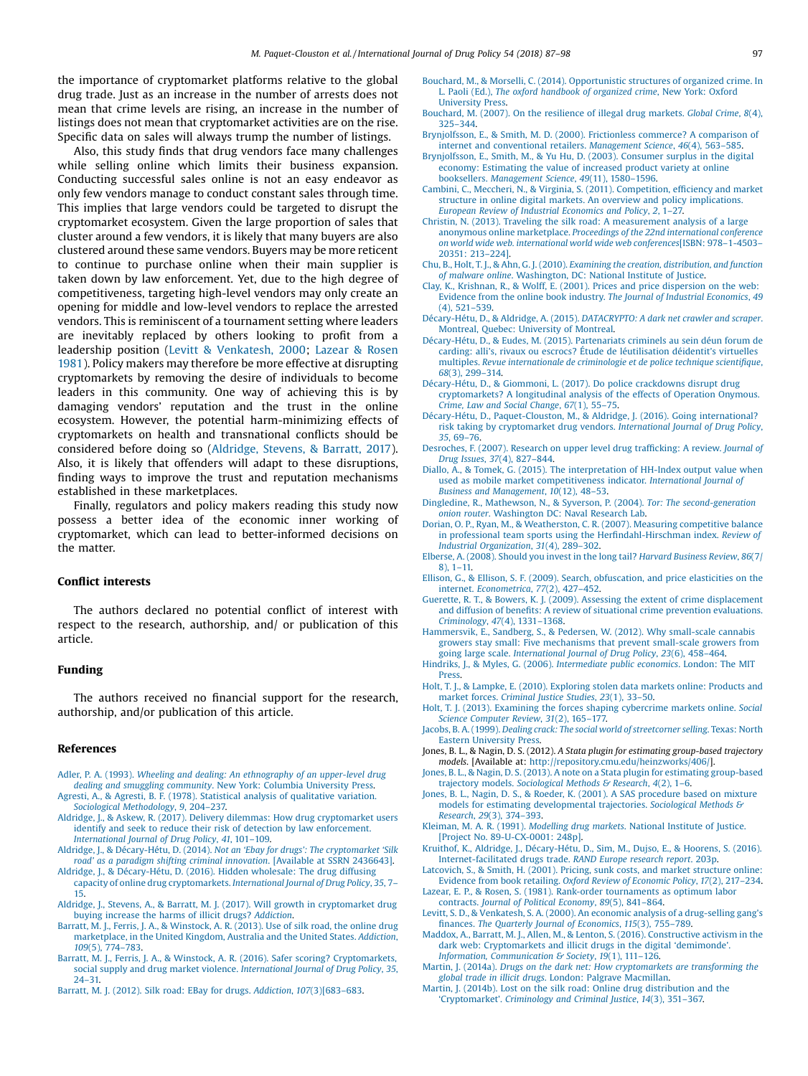<span id="page-10-0"></span>the importance of cryptomarket platforms relative to the global drug trade. Just as an increase in the number of arrests does not mean that crime levels are rising, an increase in the number of listings does not mean that cryptomarket activities are on the rise. Specific data on sales will always trump the number of listings.

Also, this study finds that drug vendors face many challenges while selling online which limits their business expansion. Conducting successful sales online is not an easy endeavor as only few vendors manage to conduct constant sales through time. This implies that large vendors could be targeted to disrupt the cryptomarket ecosystem. Given the large proportion of sales that cluster around a few vendors, it is likely that many buyers are also clustered around these same vendors. Buyers may be more reticent to continue to purchase online when their main supplier is taken down by law enforcement. Yet, due to the high degree of competitiveness, targeting high-level vendors may only create an opening for middle and low-level vendors to replace the arrested vendors. This is reminiscent of a tournament setting where leaders are inevitably replaced by others looking to profit from a leadership position (Levitt & Venkatesh, 2000; Lazear & Rosen 1981). Policy makers may therefore be more effective at disrupting cryptomarkets by removing the desire of individuals to become leaders in this community. One way of achieving this is by damaging vendors' reputation and the trust in the online ecosystem. However, the potential harm-minimizing effects of cryptomarkets on health and transnational conflicts should be considered before doing so (Aldridge, Stevens, & Barratt, 2017). Also, it is likely that offenders will adapt to these disruptions, finding ways to improve the trust and reputation mechanisms established in these marketplaces.

Finally, regulators and policy makers reading this study now possess a better idea of the economic inner working of cryptomarket, which can lead to better-informed decisions on the matter.

# Conflict interests

The authors declared no potential conflict of interest with respect to the research, authorship, and/ or publication of this article.

#### Funding

The authors received no financial support for the research, authorship, and/or publication of this article.

#### References

- Adler, P. A. (1993). Wheeling and dealing: An [ethnography](http://refhub.elsevier.com/S0955-3959(18)30003-3/sbref0005) of an upper-level drug dealing and smuggling [community](http://refhub.elsevier.com/S0955-3959(18)30003-3/sbref0005). New York: Columbia University Press.
- Agresti, A., & Agresti, B. F. (1978). Statistical analysis of [qualitative](http://refhub.elsevier.com/S0955-3959(18)30003-3/sbref0010) variation. Sociological [Methodology](http://refhub.elsevier.com/S0955-3959(18)30003-3/sbref0010), 9, 204–237. Aldridge, J., & Askew, R. (2017). Delivery dilemmas: How drug [cryptomarket](http://refhub.elsevier.com/S0955-3959(18)30003-3/sbref0015) users
- identify and seek to reduce their risk of detection by law [enforcement.](http://refhub.elsevier.com/S0955-3959(18)30003-3/sbref0015) [International](http://refhub.elsevier.com/S0955-3959(18)30003-3/sbref0015) Journal of Drug Policy, 41, 101–109.
- Aldridge, J., & [Décary-Hétu,](http://refhub.elsevier.com/S0955-3959(18)30003-3/sbref0020) D. (2014). Not an 'Ebay for drugs': The cryptomarket 'Silk road' as a paradigm shifting criminal [innovation](http://refhub.elsevier.com/S0955-3959(18)30003-3/sbref0020). [Available at SSRN 2436643]. Aldridge, J., & [Décary-Hétu,](http://refhub.elsevier.com/S0955-3959(18)30003-3/sbref0025) D. (2016). Hidden wholesale: The drug diffusing
- capacity of online drug [cryptomarkets.](http://refhub.elsevier.com/S0955-3959(18)30003-3/sbref0025) International Journal of Drug Policy, 35, 7– [15.](http://refhub.elsevier.com/S0955-3959(18)30003-3/sbref0025)
- Aldridge, J., Stevens, A., & Barratt, M. J. (2017). Will growth in [cryptomarket](http://refhub.elsevier.com/S0955-3959(18)30003-3/sbref0030) drug buying increase the harms of illicit drugs? [Addiction](http://refhub.elsevier.com/S0955-3959(18)30003-3/sbref0030).
- Barratt, M. J., Ferris, J. A., & [Winstock,](http://refhub.elsevier.com/S0955-3959(18)30003-3/sbref0035) A. R. (2013). Use of silk road, the online drug [marketplace,](http://refhub.elsevier.com/S0955-3959(18)30003-3/sbref0035) in the United Kingdom, Australia and the United States. Addiction, 109(5), 774–[783.](http://refhub.elsevier.com/S0955-3959(18)30003-3/sbref0035)
- Barratt, M. J., Ferris, J. A., & Winstock, A. R. (2016). Safer scoring? [Cryptomarkets,](http://refhub.elsevier.com/S0955-3959(18)30003-3/sbref0040) social supply and drug market violence. [International](http://refhub.elsevier.com/S0955-3959(18)30003-3/sbref0040) Journal of Drug Policy, 35, [24](http://refhub.elsevier.com/S0955-3959(18)30003-3/sbref0040)–31.
- Barratt, M. J. (2012). Silk road: EBay for drugs. [Addiction](http://refhub.elsevier.com/S0955-3959(18)30003-3/sbref0045), 107(3)[683–683.
- Bouchard, M., & Morselli, C. (2014). [Opportunistic](http://refhub.elsevier.com/S0955-3959(18)30003-3/sbref0050) structures of organized crime. In L. Paoli (Ed.), The oxford [handbook](http://refhub.elsevier.com/S0955-3959(18)30003-3/sbref0050) of organized crime, New York: Oxford [University](http://refhub.elsevier.com/S0955-3959(18)30003-3/sbref0050) Press.
- [Bouchard,](http://refhub.elsevier.com/S0955-3959(18)30003-3/sbref0055) M. (2007). On the resilience of illegal drug markets. Global Crime, 8(4), [325](http://refhub.elsevier.com/S0955-3959(18)30003-3/sbref0055)–344.
- [Brynjolfsson,](http://refhub.elsevier.com/S0955-3959(18)30003-3/sbref0060) E., & Smith, M. D. (2000). Frictionless commerce? A comparison of internet and [conventional](http://refhub.elsevier.com/S0955-3959(18)30003-3/sbref0060) retailers. Management Science, 46(4), 563–585.
- [Brynjolfsson,](http://refhub.elsevier.com/S0955-3959(18)30003-3/sbref0065) E., Smith, M., & Yu Hu, D. (2003). Consumer surplus in the digital economy: [Estimating](http://refhub.elsevier.com/S0955-3959(18)30003-3/sbref0065) the value of increased product variety at online booksellers. [Management](http://refhub.elsevier.com/S0955-3959(18)30003-3/sbref0065) Science, 49(11), 1580–1596.
- Cambini, C., Meccheri, N., & Virginia, S. (2011). [Competition,](http://refhub.elsevier.com/S0955-3959(18)30003-3/sbref0070) efficiency and market structure in online digital markets. An overview and policy [implications.](http://refhub.elsevier.com/S0955-3959(18)30003-3/sbref0070) European Review of Industrial [Economics](http://refhub.elsevier.com/S0955-3959(18)30003-3/sbref0070) and Policy, 2, 1–27.
- Christin, N. (2013). Traveling the silk road: A [measurement](http://refhub.elsevier.com/S0955-3959(18)30003-3/sbref0075) analysis of a large anonymous online [marketplace.](http://refhub.elsevier.com/S0955-3959(18)30003-3/sbref0075) Proceedings of the 22nd international conference on world wide web. [international](http://refhub.elsevier.com/S0955-3959(18)30003-3/sbref0075) world wide web conferences[ISBN: 978–1-4503– [20351:](http://refhub.elsevier.com/S0955-3959(18)30003-3/sbref0075) 213–224].
- Chu, B., Holt, T. J., & Ahn, G. J. (2010). Examining the creation, [distribution,](http://refhub.elsevier.com/S0955-3959(18)30003-3/sbref0080) and function of malware online. [Washington,](http://refhub.elsevier.com/S0955-3959(18)30003-3/sbref0080) DC: National Institute of Justice.
- Clay, K., Krishnan, R., & Wolff, E. (2001). Prices and price [dispersion](http://refhub.elsevier.com/S0955-3959(18)30003-3/sbref0085) on the web: Evidence from the online book industry. The Journal of Industrial [Economics](http://refhub.elsevier.com/S0955-3959(18)30003-3/sbref0085), 49 (4), 521–[539.](http://refhub.elsevier.com/S0955-3959(18)30003-3/sbref0085)
- Décary-Hétu, D., & Aldridge, A. (2015). [DATACRYPTO:](http://refhub.elsevier.com/S0955-3959(18)30003-3/sbref0090) A dark net crawler and scraper. Montreal, Quebec: [University](http://refhub.elsevier.com/S0955-3959(18)30003-3/sbref0090) of Montreal.
- [Décary-Hétu,](http://refhub.elsevier.com/S0955-3959(18)30003-3/sbref0095) D., & Eudes, M. (2015). Partenariats criminels au sein déun forum de carding: alli's, rivaux ou escrocs? Étude de [léutilisation](http://refhub.elsevier.com/S0955-3959(18)30003-3/sbref0095) déidentit's virtuelles multiples. Revue [internationale](http://refhub.elsevier.com/S0955-3959(18)30003-3/sbref0095) de criminologie et de police technique scientifique, 68(3), [299](http://refhub.elsevier.com/S0955-3959(18)30003-3/sbref0095)–314.
- [Décary-Hétu,](http://refhub.elsevier.com/S0955-3959(18)30003-3/sbref0100) D., & Giommoni, L. (2017). Do police crackdowns disrupt drug [cryptomarkets?](http://refhub.elsevier.com/S0955-3959(18)30003-3/sbref0100) A longitudinal analysis of the effects of Operation Onymous. Crime, Law and Social [Change](http://refhub.elsevier.com/S0955-3959(18)30003-3/sbref0100), 67(1), 55–75.
- Décary-Hétu, D., [Paquet-Clouston,](http://refhub.elsevier.com/S0955-3959(18)30003-3/sbref0105) M., & Aldridge, J. (2016). Going international? risk taking by [cryptomarket](http://refhub.elsevier.com/S0955-3959(18)30003-3/sbref0105) drug vendors. International Journal of Drug Policy, 35, [69](http://refhub.elsevier.com/S0955-3959(18)30003-3/sbref0105)–76.
- [Desroches,](http://refhub.elsevier.com/S0955-3959(18)30003-3/sbref0110) F. (2007). Research on upper level drug trafficking: A review. Journal of Drug [Issues](http://refhub.elsevier.com/S0955-3959(18)30003-3/sbref0110), 37(4), 827–844.
- Diallo, A., & Tomek, G. (2015). The [interpretation](http://refhub.elsevier.com/S0955-3959(18)30003-3/sbref0115) of HH-Index output value when used as mobile market [competitiveness](http://refhub.elsevier.com/S0955-3959(18)30003-3/sbref0115) indicator. International Journal of Business and [Management](http://refhub.elsevier.com/S0955-3959(18)30003-3/sbref0115), 10(12), 48–53.
- Dingledine, R., Mathewson, N., & Syverson, P. (2004). Tor: The [second-generation](http://refhub.elsevier.com/S0955-3959(18)30003-3/sbref0120) onion router. [Washington](http://refhub.elsevier.com/S0955-3959(18)30003-3/sbref0120) DC: Naval Research Lab.
- Dorian, O. P., Ryan, M., & [Weatherston,](http://refhub.elsevier.com/S0955-3959(18)30003-3/sbref0125) C. R. (2007). Measuring competitive balance in professional team sports using the Herfi[ndahl-Hirschman](http://refhub.elsevier.com/S0955-3959(18)30003-3/sbref0125) index. Review of Industrial [Organization](http://refhub.elsevier.com/S0955-3959(18)30003-3/sbref0125), 31(4), 289–302.
- Elberse, A. (2008). Should you invest in the long tail? Harvard [Business](http://refhub.elsevier.com/S0955-3959(18)30003-3/sbref0130) Review, 86(7/ [8\),](http://refhub.elsevier.com/S0955-3959(18)30003-3/sbref0130) 1–11.
- Ellison, G., & Ellison, S. F. (2009). Search, [obfuscation,](http://refhub.elsevier.com/S0955-3959(18)30003-3/sbref0135) and price elasticities on the internet. [Econometrica](http://refhub.elsevier.com/S0955-3959(18)30003-3/sbref0135), 77(2), 427–452.
- Guerette, R. T., & Bowers, K. J. (2009). Assessing the extent of crime [displacement](http://refhub.elsevier.com/S0955-3959(18)30003-3/sbref0140) and diffusion of benefits: A review of situational crime prevention [evaluations.](http://refhub.elsevier.com/S0955-3959(18)30003-3/sbref0140) [Criminology](http://refhub.elsevier.com/S0955-3959(18)30003-3/sbref0140), 47(4), 1331–1368.
- [Hammersvik,](http://refhub.elsevier.com/S0955-3959(18)30003-3/sbref0145) E., Sandberg, S., & Pedersen, W. (2012). Why small-scale cannabis growers stay small: Five [mechanisms](http://refhub.elsevier.com/S0955-3959(18)30003-3/sbref0145) that prevent small-scale growers from going large scale. [International](http://refhub.elsevier.com/S0955-3959(18)30003-3/sbref0145) Journal of Drug Policy, 23(6), 458–464.
- Hindriks, J., & Myles, G. (2006). [Intermediate](http://refhub.elsevier.com/S0955-3959(18)30003-3/sbref0150) public economics. London: The MIT [Press](http://refhub.elsevier.com/S0955-3959(18)30003-3/sbref0150).
- Holt, T. J., & Lampke, E. (2010). [Exploring](http://refhub.elsevier.com/S0955-3959(18)30003-3/sbref0155) stolen data markets online: Products and market forces. [Criminal](http://refhub.elsevier.com/S0955-3959(18)30003-3/sbref0155) Justice Studies, 23(1), 33–50.
- Holt, T. J. (2013). Examining the forces shaping [cybercrime](http://refhub.elsevier.com/S0955-3959(18)30003-3/sbref0160) markets online. Social Science [Computer](http://refhub.elsevier.com/S0955-3959(18)30003-3/sbref0160) Review, 31(2), 165–177.
- Jacobs, B. A. (1999). Dealing crack: The social world of [streetcorner](http://refhub.elsevier.com/S0955-3959(18)30003-3/sbref0165) selling. Texas: North Eastern [University](http://refhub.elsevier.com/S0955-3959(18)30003-3/sbref0165) Press.
- Jones, B. L., & Nagin, D. S. (2012). A Stata plugin for estimating group-based trajectory models. [Available at: <http://repository.cmu.edu/heinzworks/406/>].
- Jones, B. L., & Nagin, D. S. (2013). A note on a Stata plugin for estimating [group-based](http://refhub.elsevier.com/S0955-3959(18)30003-3/sbref0175) trajectory models. [Sociological](http://refhub.elsevier.com/S0955-3959(18)30003-3/sbref0175) Methods & Research, 4(2), 1-6.
- Jones, B. L., Nagin, D. S., & Roeder, K. (2001). A SAS [procedure](http://refhub.elsevier.com/S0955-3959(18)30003-3/sbref0180) based on mixture models for estimating [developmental](http://refhub.elsevier.com/S0955-3959(18)30003-3/sbref0180) trajectories. Sociological Methods & [Research](http://refhub.elsevier.com/S0955-3959(18)30003-3/sbref0180), 29(3), 374–393.
- Kleiman, M. A. R. (1991). [Modelling](http://refhub.elsevier.com/S0955-3959(18)30003-3/sbref0185) drug markets. National Institute of Justice. [Project No. [89-U-CX-0001:](http://refhub.elsevier.com/S0955-3959(18)30003-3/sbref0185) 248p].
- Kruithof, K., Aldridge, J., [Décary-Hétu,](http://refhub.elsevier.com/S0955-3959(18)30003-3/sbref0190) D., Sim, M., Dujso, E., & Hoorens, S. (2016). [Internet-facilitated](http://refhub.elsevier.com/S0955-3959(18)30003-3/sbref0190) drugs trade. RAND Europe research report. 203p.
- [Latcovich,](http://refhub.elsevier.com/S0955-3959(18)30003-3/sbref0195) S., & Smith, H. (2001). Pricing, sunk costs, and market structure online: Evidence from book retailing. Oxford Review of [Economic](http://refhub.elsevier.com/S0955-3959(18)30003-3/sbref0195) Policy, 17(2), 217–234.
- Lazear, E. P., & Rosen, S. (1981). Rank-order [tournaments](http://refhub.elsevier.com/S0955-3959(18)30003-3/sbref0200) as optimum labor [contracts.](http://refhub.elsevier.com/S0955-3959(18)30003-3/sbref0200) Journal of Political Economy, 89(5), 841–864. Levitt, S. D., & Venkatesh, S. A. (2000). An economic analysis of a [drug-selling](http://refhub.elsevier.com/S0955-3959(18)30003-3/sbref0205) gang's
- finances. The Quarterly Journal of [Economics](http://refhub.elsevier.com/S0955-3959(18)30003-3/sbref0205), 115(3), 755–789.
- Maddox, A., Barratt, M. J., Allen, M., & Lenton, S. (2016). [Constructive](http://refhub.elsevier.com/S0955-3959(18)30003-3/sbref0210) activism in the dark web: [Cryptomarkets](http://refhub.elsevier.com/S0955-3959(18)30003-3/sbref0210) and illicit drugs in the digital 'demimonde'. Information, [Communication](http://refhub.elsevier.com/S0955-3959(18)30003-3/sbref0210) & Society, 19(1), 111-126.
- Martin, J. (2014a). Drugs on the dark net: How [cryptomarkets](http://refhub.elsevier.com/S0955-3959(18)30003-3/sbref0215) are transforming the global trade in illicit drugs. London: Palgrave [Macmillan.](http://refhub.elsevier.com/S0955-3959(18)30003-3/sbref0215)
- Martin, J. (2014b). Lost on the silk road: Online drug [distribution](http://refhub.elsevier.com/S0955-3959(18)30003-3/sbref0220) and the '[Cryptomarket](http://refhub.elsevier.com/S0955-3959(18)30003-3/sbref0220)'. Criminology and Criminal Justice, 14(3), 351–367.